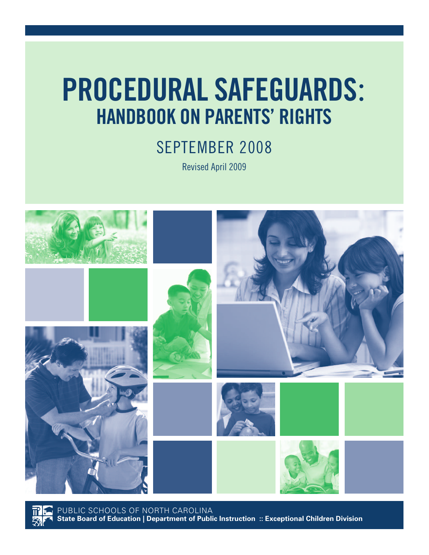# **PROCEDURAL SAFEGUARDS**: **HANDBOOK ON PARENTS' RIGHTS**

SEPTEMBER 2008

Revised April 2009



PUBLIC SCHOOLS OF NORTH CAROLINA **State Board of Education | Department of Public Instruction :: Exceptional Children Division**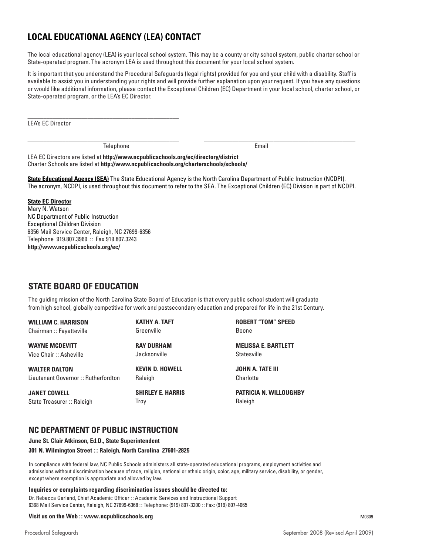# **LOCAL EDUCATIONAL AGENCY (LEA) CONTACT**

The local educational agency (LEA) is your local school system. This may be a county or city school system, public charter school or State-operated program. The acronym LEA is used throughout this document for your local school system.

It is important that you understand the Procedural Safeguards (legal rights) provided for you and your child with a disability. Staff is available to assist you in understanding your rights and will provide further explanation upon your request. If you have any questions or would like additional information, please contact the Exceptional Children (EC) Department in your local school, charter school, or State-operated program, or the LEA's EC Director.

LEA's EC Director

Telephone **Email** 

\_\_\_\_\_\_\_\_\_\_\_\_\_\_\_\_\_\_\_\_\_\_\_\_\_\_\_\_\_\_\_\_\_\_\_\_\_\_\_\_\_\_\_\_\_\_\_\_

LEA EC Directors are listed at **http://www.ncpublicschools.org/ec/directory/district** Charter Schools are listed at **http://www.ncpublicschools.org/charterschools/schools/**

**State Educational Agency (SEA)** The State Educational Agency is the North Carolina Department of Public Instruction (NCDPI). The acronym, NCDPI, is used throughout this document to refer to the SEA. The Exceptional Children (EC) Division is part of NCDPI.

\_\_\_\_\_\_\_\_\_\_\_\_\_\_\_\_\_\_\_\_\_\_\_\_\_\_\_\_\_\_\_\_\_\_\_\_\_\_\_\_\_\_\_\_\_\_\_\_ \_\_\_\_\_\_\_\_\_\_\_\_\_\_\_\_\_\_\_\_\_\_\_\_\_\_\_\_\_\_\_\_\_\_\_\_\_\_\_\_\_\_\_\_\_\_\_\_

#### **State EC Director**

Mary N. Watson NC Department of Public Instruction Exceptional Children Division 6356 Mail Service Center, Raleigh, NC 27699-6356 Telephone 919.807.3969 :: Fax 919.807.3243 **http://www.ncpublicschools.org/ec/**

# **STATE BOARD OF EDUCATION**

The guiding mission of the North Carolina State Board of Education is that every public school student will graduate from high school, globally competitive for work and postsecondary education and prepared for life in the 21st Century.

**WILLIAM C. HARRISON** Chairman :: Fayetteville

**WAYNE MCDEVITT** Vice Chair :: Asheville

**WALTER DALTON** Lieutenant Governor :: Rutherfordton

**JANET COWELL** State Treasurer :: Raleigh **KATHY A. TAFT** Greenville

**RAY DURHAM** Jacksonville

**KEVIN D. HOWELL Raleigh** 

**SHIRLEY E. HARRIS** Troy

**ROBERT "TOM" SPEED** Boone

**MELISSA E. BARTLETT Statesville** 

**JOHN A. TATE III Charlotte** 

**PATRICIA N. WILLOUGHBY** Raleigh

#### **NC DEPARTMENT OF PUBLIC INSTRUCTION**

**June St. Clair Atkinson, Ed.D., State Superintendent**

#### **301 N. Wilmington Street :: Raleigh, North Carolina 27601-2825**

In compliance with federal law, NC Public Schools administers all state-operated educational programs, employment activities and admissions without discrimination because of race, religion, national or ethnic origin, color, age, military service, disability, or gender, except where exemption is appropriate and allowed by law.

#### **Inquiries or complaints regarding discrimination issues should be directed to:**

Dr. Rebecca Garland, Chief Academic Officer :: Academic Services and Instructional Support 6368 Mail Service Center, Raleigh, NC 27699-6368 :: Telephone: (919) 807-3200 :: Fax: (919) 807-4065

#### **Visit us on the Web :: www.ncpublicschools.org**

M0309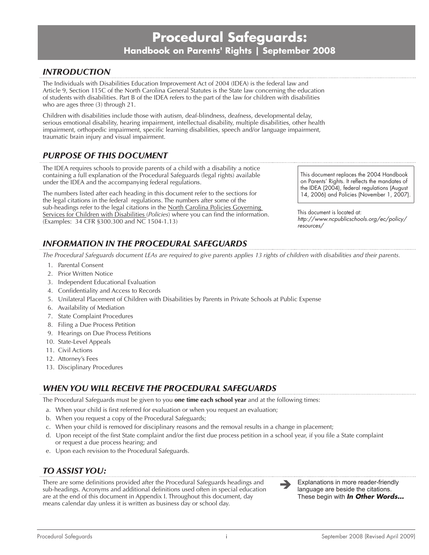# **Procedural Safeguards: Handbook on Parents' Rights | September 2008**

## *Introduction*

The Individuals with Disabilities Education Improvement Act of 2004 (IDEA) is the federal law and Article 9, Section 115C of the North Carolina General Statutes is the State law concerning the education of students with disabilities. Part B of the IDEA refers to the part of the law for children with disabilities who are ages three (3) through 21.

Children with disabilities include those with autism, deaf-blindness, deafness, developmental delay, serious emotional disability, hearing impairment, intellectual disability, multiple disabilities, other health impairment, orthopedic impairment, specific learning disabilities, speech and/or language impairment, traumatic brain injury and visual impairment.

## *Purpose of this Document*

The IDEA requires schools to provide parents of a child with a disability a notice containing a full explanation of the Procedural Safeguards (legal rights) available under the IDEA and the accompanying federal regulations.

The numbers listed after each heading in this document refer to the sections for the legal citations in the federal regulations. The numbers after some of the sub-headings refer to the legal citations in the North Carolina Policies Governing Services for Children with Disabilities (*Policies*) where you can find the information. (Examples: 34 CFR §300.300 and NC 1504-1.13)

# *Information in the Procedural Safeguards*

*The Procedural Safeguards document LEAs are required to give parents applies 13 rights of children with disabilities and their parents.*

- 1. Parental Consent
- 2. Prior Written Notice
- 3. Independent Educational Evaluation
- 4. Confidentiality and Access to Records
- 5. Unilateral Placement of Children with Disabilities by Parents in Private Schools at Public Expense
- 6. Availability of Mediation
- 7. State Complaint Procedures
- 8. Filing a Due Process Petition
- 9. Hearings on Due Process Petitions
- 10. State-Level Appeals
- 11. Civil Actions
- 12. Attorney's Fees
- 13. Disciplinary Procedures

# *When You Will Receive the Procedural Safeguards*

The Procedural Safeguards must be given to you **one time each school year** and at the following times:

- a. When your child is first referred for evaluation or when you request an evaluation;
- b. When you request a copy of the Procedural Safeguards;
- c. When your child is removed for disciplinary reasons and the removal results in a change in placement;
- d. Upon receipt of the first State complaint and/or the first due process petition in a school year, if you file a State complaint or request a due process hearing; and
- e. Upon each revision to the Procedural Safeguards.

# *To assist you:*

There are some definitions provided after the Procedural Safeguards headings and sub-headings. Acronyms and additional definitions used often in special education are at the end of this document in Appendix I. Throughout this document, day means calendar day unless it is written as business day or school day.

 Explanations in more reader-friendly language are beside the citations. These begin with *In Other Words...*

i

This document replaces the 2004 Handbook on Parents' Rights. It reflects the mandates of the IDEA (2004), federal regulations (August 14, 2006) and Policies (November 1, 2007).

This document is located at: *http://www.ncpublicschools.org/ec/policy/ resources/*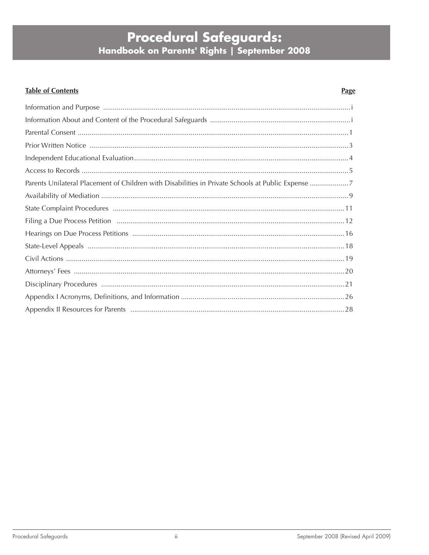# **Procedural Safeguards:**<br>Handbook on Parents' Rights | September 2008

# **Table of Contents**

#### **Page**

| Parents Unilateral Placement of Children with Disabilities in Private Schools at Public Expense 7 |
|---------------------------------------------------------------------------------------------------|
|                                                                                                   |
|                                                                                                   |
|                                                                                                   |
|                                                                                                   |
|                                                                                                   |
|                                                                                                   |
|                                                                                                   |
|                                                                                                   |
|                                                                                                   |
|                                                                                                   |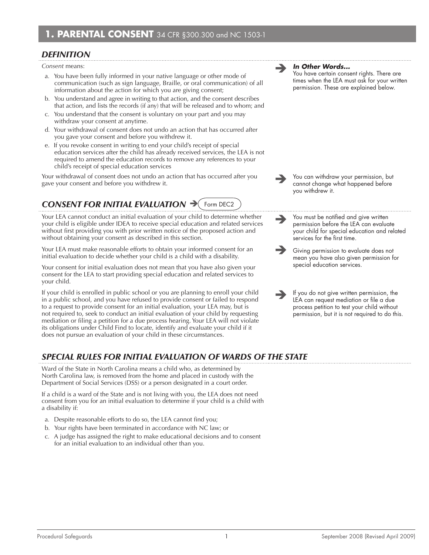## *Definition*

*Consent* means:

- a*.* You have been fully informed in your native language or other mode of communication (such as sign language, Braille, or oral communication) of all information about the action for which you are giving consent;
- b*.* You understand and agree in writing to that action, and the consent describes that action, and lists the records (if any) that will be released and to whom; and
- c*.* You understand that the consent is voluntary on your part and you may withdraw your consent at anytime.
- d*.* Your withdrawal of consent does not undo an action that has occurred after you gave your consent and before you withdrew it.
- e. If you revoke consent in writing to end your child's receipt of special education services after the child has already received services, the LEA is not required to amend the education records to remove any references to your child's receipt of special education services

Your withdrawal of consent does not undo an action that has occurred after you **Soult and Ware with You can withdraw your permission**, but gave your consent and before you withdrew it.

#### *Consent for Initial Evaluation*  Form DEC2

Your LEA cannot conduct an initial evaluation of your child to determine whether your child is eligible under IDEA to receive special education and related services without first providing you with prior written notice of the proposed action and without obtaining your consent as described in this section.

Your LEA must make reasonable efforts to obtain your informed consent for an initial evaluation to decide whether your child is a child with a disability.

Your consent for initial evaluation does not mean that you have also given your consent for the LEA to start providing special education and related services to your child.

If your child is enrolled in public school or you are planning to enroll your child in a public school, and you have refused to provide consent or failed to respond to a request to provide consent for an initial evaluation, your LEA may, but is not required to, seek to conduct an initial evaluation of your child by requesting mediation or filing a petition for a due process hearing. Your LEA will not violate its obligations under Child Find to locate, identify and evaluate your child if it does not pursue an evaluation of your child in these circumstances.

# *Special Rules for Initial Evaluation of Wards of the State*

Ward of the State in North Carolina means a child who, as determined by North Carolina law, is removed from the home and placed in custody with the Department of Social Services (DSS) or a person designated in a court order.

If a child is a ward of the State and is not living with you, the LEA does not need consent from you for an initial evaluation to determine if your child is a child with a disability if:

- a*.* Despite reasonable efforts to do so, the LEA cannot find you;
- b*.* Your rights have been terminated in accordance with NC law; or
- c*.* A judge has assigned the right to make educational decisions and to consent for an initial evaluation to an individual other than you.

#### *In Other Words...*

You have certain consent rights. There are times when the LEA must ask for your written permission. These are explained below.

cannot change what happened before you withdrew it.

 $\rightarrow$ 

You must be notified and give written permission before the LEA can evaluate your child for special education and related services for the first time.

 $\rightarrow$ Giving permission to evaluate does not mean you have also given permission for special education services.

 If you do not give written permission, the LEA can request mediation or file a due process petition to test your child without permission, but it is not required to do this.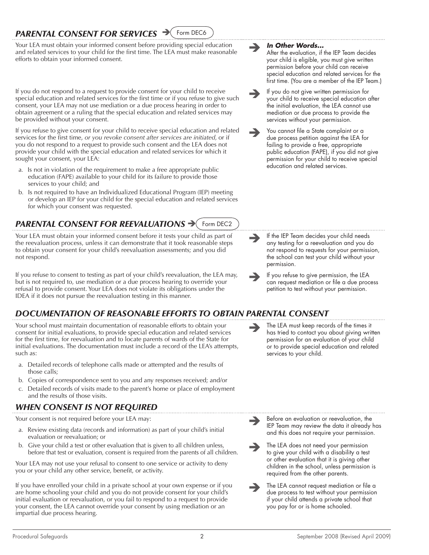#### *Parental Consent for Services*  Form DEC6

Your LEA must obtain your informed consent before providing special education and related services to your child for the first time. The LEA must make reasonable efforts to obtain your informed consent.

If you do not respond to a request to provide consent for your child to receive special education and related services for the first time or if you refuse to give such consent, your LEA may not use mediation or a due process hearing in order to obtain agreement or a ruling that the special education and related services may be provided without your consent.

If you refuse to give consent for your child to receive special education and related services for the first time, *or you revoke consent after services are initiated,* or if you do not respond to a request to provide such consent and the LEA does not provide your child with the special education and related services for which it sought your consent, your LEA:

- a*.* Is not in violation of the requirement to make a free appropriate public education (FAPE) available to your child for its failure to provide those services to your child; and
- b*.* Is not required to have an Individualized Educational Program (IEP) meeting or develop an IEP for your child for the special education and related services for which your consent was requested.

#### *Parental consent for reevaluations* Form DEC2

Your LEA must obtain your informed consent before it tests your child as part of the reevaluation process, unless it can demonstrate that it took reasonable steps to obtain your consent for your child's reevaluation assessments; and you did not respond.

If you refuse to consent to testing as part of your child's reevaluation, the LEA may, but is not required to, use mediation or a due process hearing to override your refusal to provide consent. Your LEA does not violate its obligations under the IDEA if it does not pursue the reevaluation testing in this manner.

# *Documentation of Reasonable Efforts to Obtain Parental Consent*

Your school must maintain documentation of reasonable efforts to obtain your consent for initial evaluations, to provide special education and related services for the first time, for reevaluation and to locate parents of wards of the State for initial evaluations. The documentation must include a record of the LEA's attempts, such as:

- a*.* Detailed records of telephone calls made or attempted and the results of those calls;
- b*.* Copies of correspondence sent to you and any responses received; and/or
- c*.* Detailed records of visits made to the parent's home or place of employment and the results of those visits.

# *When Consent is Not Required*

Your consent is not required before your LEA may:

- a*.* Review existing data (records and information) as part of your child's initial evaluation or reevaluation; or
- b*.* Give your child a test or other evaluation that is given to all children unless, before that test or evaluation, consent is required from the parents of all children.

Your LEA may not use your refusal to consent to one service or activity to deny you or your child any other service, benefit, or activity.

If you have enrolled your child in a private school at your own expense or if you are home schooling your child and you do not provide consent for your child's initial evaluation or reevaluation, or you fail to respond to a request to provide your consent, the LEA cannot override your consent by using mediation or an impartial due process hearing.

#### *In Other Words...*

After the evaluation, if the IEP Team decides your child is eligible, you must give written permission before your child can receive special education and related services for the first time. (You are a member of the IEP Team.)

- If you do not give written permission for your child to receive special education after the initial evaluation, the LEA cannot use mediation or due process to provide the services without your permission.
- You cannot file a State complaint or a due process petition against the LEA for failing to provide a free, appropriate public education (FAPE), if you did not give permission for your child to receive special education and related services.

- If the IEP Team decides your child needs any testing for a reevaluation and you do not respond to requests for your permission, the school can test your child without your permission.
- If you refuse to give permission, the LEA can request mediation or file a due process petition to test without your permission.
- The LEA must keep records of the times it has tried to contact you about giving written permission for an evaluation of your child or to provide special education and related services to your child.

- $\rightarrow$ Before an evaluation or reevaluation, the IEP Team may review the data it already has and this does not require your permission.
- $\rightarrow$ The LEA does not need your permission to give your child with a disability a test or other evaluation that it is giving other children in the school, unless permission is required from the other parents.
	- The LEA cannot request mediation or file a due process to test without your permission if your child attends a private school that you pay for or is home schooled.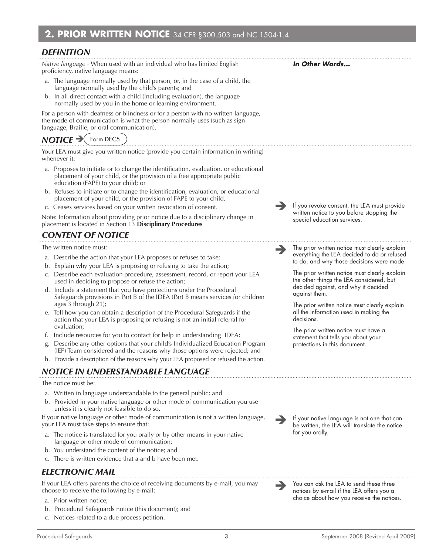#### *Definition*

*Native language -* When used with an individual who has limited English proficiency, native language means:

- a. The language normally used by that person, or, in the case of a child, the language normally used by the child's parents; and
- b. In all direct contact with a child (including evaluation), the language normally used by you in the home or learning environment.

For a person with deafness or blindness or for a person with no written language, the mode of communication is what the person normally uses (such as sign language, Braille, or oral communication).

# *NOTICE* → Form DEC5

Your LEA must give you written notice (provide you certain information in writing) whenever it:

- a. Proposes to initiate or to change the identification, evaluation, or educational placement of your child, or the provision of a free appropriate public education (FAPE) to your child; or
- b. Refuses to initiate or to change the identification, evaluation, or educational placement of your child, or the provision of FAPE to your child.
- c. Ceases services based on your written revocation of consent.

Note: Information about providing prior notice due to a disciplinary change in placement is located in Section 13 **Disciplinary Procedures**

# *Content of Notice*

The written notice must:

- a. Describe the action that your LEA proposes or refuses to take;
- b. Explain why your LEA is proposing or refusing to take the action;
- c. Describe each evaluation procedure, assessment, record, or report your LEA used in deciding to propose or refuse the action;
- d. Include a statement that you have protections under the Procedural Safeguards provisions in Part B of the IDEA (Part B means services for children ages 3 through 21);
- e. Tell how you can obtain a description of the Procedural Safeguards if the action that your LEA is proposing or refusing is not an initial referral for evaluation;
- f. Include resources for you to contact for help in understanding IDEA;
- Describe any other options that your child's Individualized Education Program (IEP) Team considered and the reasons why those options were rejected; and
- h. Provide a description of the reasons why your LEA proposed or refused the action.

# *Notice in Understandable Language*

#### The notice must be:

- a. Written in language understandable to the general public; and
- b. Provided in your native language or other mode of communication you use unless it is clearly not feasible to do so.

If your native language or other mode of communication is not a written language, your LEA must take steps to ensure that:

- The notice is translated for you orally or by other means in your native language or other mode of communication;
- b. You understand the content of the notice; and
- c. There is written evidence that a and b have been met.

## *Electronic Mail*

If your LEA offers parents the choice of receiving documents by e-mail, you may choose to receive the following by e-mail:

- a. Prior written notice;
- b. Procedural Safeguards notice (this document); and
- c. Notices related to a due process petition.

 If your native language is not one that can be written, the LEA will translate the notice for you orally.

 You can ask the LEA to send these three notices by e-mail if the LEA offers you a choice about how you receive the notices.

*In Other Words...* 

 If you revoke consent, the LEA must provide written notice to you before stopping the

 The prior written notice must clearly explain everything the LEA decided to do or refused to do, and why those decisions were made. The prior written notice must clearly explain the other things the LEA considered, but decided against, and why it decided

The prior written notice must clearly explain all the information used in making the

The prior written notice must have a statement that tells you about your protections in this document.

special education services.

against them.

decisions.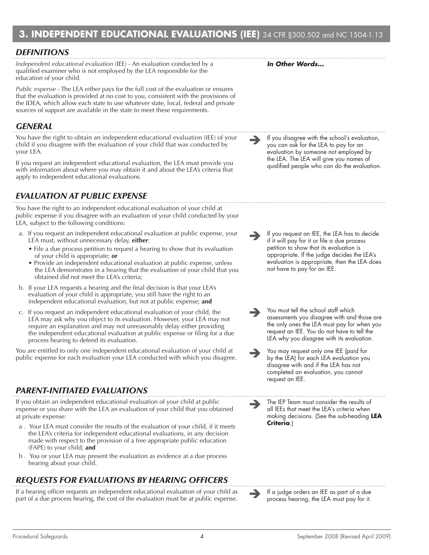# **3. INDEPENDENT EDUCATIONAL EVALUATIONS (IEE)** 34 CFR §300.502 and NC 1504-1.13

## *Definitions*

*Independent educational evaluation* (IEE) - An evaluation conducted by a qualified examiner who is not employed by the LEA responsible for the education of your child.

*Public expense* - The LEA either pays for the full cost of the evaluation or ensures that the evaluation is provided at no cost to you, consistent with the provisions of the IDEA, which allow each state to use whatever state, local, federal and private sources of support are available in the state to meet these requirements.

## *General*

You have the right to obtain an independent educational evaluation (IEE) of your child if you disagree with the evaluation of your child that was conducted by your LEA.

If you request an independent educational evaluation, the LEA must provide you with information about where you may obtain it and about the LEA's criteria that apply to independent educational evaluations.

# *Evaluation at Public Expense*

You have the right to an independent educational evaluation of your child at public expense if you disagree with an evaluation of your child conducted by your LEA, subject to the following conditions:

- a. If you request an independent educational evaluation at public expense, your LEA must, without unnecessary delay, **either**:
	- File a due process petition to request a hearing to show that its evaluation of your child is appropriate; **or**
	- Provide an independent educational evaluation at public expense, unless the LEA demonstrates in a hearing that the evaluation of your child that you obtained did not meet the LEA's criteria;
- b. If your LEA requests a hearing and the final decision is that your LEA's evaluation of your child is appropriate, you still have the right to an independent educational evaluation, but not at public expense; **and**
- c. If you request an independent educational evaluation of your child, the LEA may ask why you object to its evaluation. However, your LEA may not require an explanation and may not unreasonably delay either providing the independent educational evaluation at public expense or filing for a due process hearing to defend its evaluation.

You are entitled to only one independent educational evaluation of your child at You are entitled to only one independent educational evaluation of your child at<br>
public expense for each evaluation your LEA conducted with which you disagree. <br>
by the LEA for each LEA evaluation your Sanglety of the UEA

# *Parent-initiated Evaluations*

If you obtain an independent educational evaluation of your child at public expense or you share with the LEA an evaluation of your child that you obtained at private expense:

- a . Your LEA must consider the results of the evaluation of your child, if it meets the LEA's criteria for independent educational evaluations, in any decision made with respect to the provision of a free appropriate public education (FAPE) to your child; **and**
- b . You or your LEA may present the evaluation as evidence at a due process hearing about your child.

# *Requests for Evaluations by Hearing Officers*

If a hearing officer requests an independent educational evaluation of your child as If a hearing officer requests an independent educational evaluation of your child as **If a judge orders an IEE as part of a due**<br>part of a due process hearing, the cost of the evaluation must be at public expense.

*In Other Words…*

 If you disagree with the school's evaluation, you can ask for the LEA to pay for an evaluation by someone not employed by the LEA. The LEA will give you names of qualified people who can do the evaluation.

 If you request an IEE, the LEA has to decide if it will pay for it or file a due process petition to show that its evaluation is appropriate. If the judge decides the LEA's evaluation is appropriate, then the LEA does not have to pay for an IEE.

 You must tell the school staff which assessments you disagree with and those are the only ones the LEA must pay for when you request an IEE. You do not have to tell the LEA why you disagree with its evaluation.

by the LEA) for each LEA evaluation you disagree with and if the LEA has not completed an evaluation, you cannot request an IEE.

 The IEP Team must consider the results of all IEEs that meet the LEA's criteria when making decisions. (See the sub-heading **LEA Criteria**.)

process hearing, the LEA must pay for it.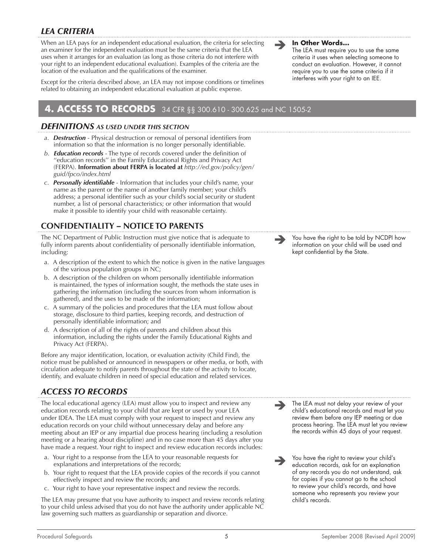# *LEA Criteria*

When an LEA pays for an independent educational evaluation, the criteria for selecting an examiner for the independent evaluation must be the same criteria that the LEA uses when it arranges for an evaluation (as long as those criteria do not interfere with your right to an independent educational evaluation). Examples of the criteria are the location of the evaluation and the qualifications of the examiner.

Except for the criteria described above, an LEA may not impose conditions or timelines related to obtaining an independent educational evaluation at public expense.

# **4. ACCESS TO RECORDS** 34 CFR §§ 300.610 - 300.625 and NC 1505-2

#### *Definitions as used under this section*

- *a*. *Destruction*  Physical destruction or removal of personal identifiers from information so that the information is no longer personally identifiable.
- *b*. *Education records*  The type of records covered under the definition of ''education records'' in the Family Educational Rights and Privacy Act (FERPA). **Information about FERPA is located at** *http://ed.gov/policy/gen/ guid/fpco/index.html*
- *c*. *Personally identifiable* Information that includes your child's name, your name as the parent or the name of another family member; your child's address; a personal identifier such as your child's social security or student number, a list of personal characteristics; or other information that would make it possible to identify your child with reasonable certainty.

# **Confidentiality** *–* **Notice to Parents**

The NC Department of Public Instruction must give notice that is adequate to fully inform parents about confidentiality of personally identifiable information, including:

- a. A description of the extent to which the notice is given in the native languages of the various population groups in NC;
- b. A description of the children on whom personally identifiable information is maintained, the types of information sought, the methods the state uses in gathering the information (including the sources from whom information is gathered), and the uses to be made of the information;
- c. A summary of the policies and procedures that the LEA must follow about storage, disclosure to third parties, keeping records, and destruction of personally identifiable information; and
- d. A description of all of the rights of parents and children about this information, including the rights under the Family Educational Rights and Privacy Act (FERPA).

Before any major identification, location, or evaluation activity (Child Find), the notice must be published or announced in newspapers or other media, or both, with circulation adequate to notify parents throughout the state of the activity to locate, identify, and evaluate children in need of special education and related services.

# *Access to Records*

The local educational agency (LEA) must allow you to inspect and review any education records relating to your child that are kept or used by your LEA under IDEA. The LEA must comply with your request to inspect and review any education records on your child without unnecessary delay and before any meeting about an IEP or any impartial due process hearing (including a resolution meeting or a hearing about discipline) and in no case more than 45 days after you have made a request. Your right to inspect and review education records includes:

- a. Your right to a response from the LEA to your reasonable requests for explanations and interpretations of the records;
- b. Your right to request that the LEA provide copies of the records if you cannot effectively inspect and review the records; and
- c. Your right to have your representative inspect and review the records.

The LEA may presume that you have authority to inspect and review records relating to your child unless advised that you do not have the authority under applicable NC law governing such matters as guardianship or separation and divorce.



The LEA must require you to use the same criteria it uses when selecting someone to conduct an evaluation. However, it cannot require you to use the same criteria if it interferes with your right to an IEE.

 You have the right to be told by NCDPI how information on your child will be used and kept confidential by the State.

 $\rightarrow$ The LEA must not delay your review of your child's educational records and must let you review them before any IEP meeting or due process hearing. The LEA must let you review the records within 45 days of your request.

 $\rightarrow$ You have the right to review your child's education records, ask for an explanation of any records you do not understand, ask for copies if you cannot go to the school to review your child's records, and have someone who represents you review your child's records.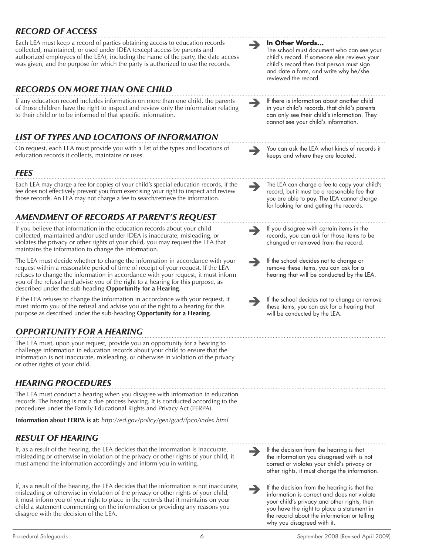# *Record of Access*

Each LEA must keep a record of parties obtaining access to education records collected, maintained, or used under IDEA (except access by parents and authorized employees of the LEA), including the name of the party, the date access was given, and the purpose for which the party is authorized to use the records.

# *Records on More than One Child*

If any education record includes information on more than one child, the parents of those children have the right to inspect and review only the information relating to their child or to be informed of that specific information.

# *List of Types and Locations of Information*

On request, each LEA must provide you with a list of the types and locations of **Soult and Sou can ask the LEA what kinds of records it**<br>education records it collects, maintains or uses.

## *Fees*

Each LEA may charge a fee for copies of your child's special education records, if the fee does not effectively prevent you from exercising your right to inspect and review those records. An LEA may not charge a fee to search/retrieve the information.

# *Amendment of Records at Parent's Request*

If you believe that information in the education records about your child collected, maintained and/or used under IDEA is inaccurate, misleading, or violates the privacy or other rights of your child, you may request the LEA that maintains the information to change the information.

The LEA must decide whether to change the information in accordance with your request within a reasonable period of time of receipt of your request. If the LEA refuses to change the information in accordance with your request, it must inform you of the refusal and advise you of the right to a hearing for this purpose, as described under the sub-heading **Opportunity for a Hearing**.

If the LEA refuses to change the information in accordance with your request, it must inform you of the refusal and advise you of the right to a hearing for this purpose as described under the sub-heading **Opportunity for a Hearing**.

# *Opportunity for a Hearing*

The LEA must, upon your request, provide you an opportunity for a hearing to challenge information in education records about your child to ensure that the information is not inaccurate, misleading, or otherwise in violation of the privacy or other rights of your child.

# *Hearing Procedures*

The LEA must conduct a hearing when you disagree with information in education records. The hearing is not a due process hearing. It is conducted according to the procedures under the Family Educational Rights and Privacy Act (FERPA).

**Information about FERPA is at:** *http://ed.gov/policy/gen/guid/fpco/index.html*

# *Result of Hearing*

If, as a result of the hearing, the LEA decides that the information is inaccurate, misleading or otherwise in violation of the privacy or other rights of your child, it must amend the information accordingly and inform you in writing.

If, as a result of the hearing, the LEA decides that the information is not inaccurate, misleading or otherwise in violation of the privacy or other rights of your child, it must inform you of your right to place in the records that it maintains on your child a statement commenting on the information or providing any reasons you disagree with the decision of the LEA.

**In Other Words...**

The school must document who can see your child's record. If someone else reviews your child's record then that person must sign and date a form, and write why he/she reviewed the record.

 If there is information about another child in your child's records, that child's parents can only see their child's information. They cannot see your child's information.

keeps and where they are located.

 The LEA can charge a fee to copy your child's record, but it must be a reasonable fee that you are able to pay. The LEA cannot charge for looking for and getting the records.

 $\rightarrow$ If you disagree with certain items in the records, you can ask for those items to be changed or removed from the record.

 $\rightarrow$ If the school decides not to change or remove these items, you can ask for a hearing that will be conducted by the LEA.

 If the school decides not to change or remove these items, you can ask for a hearing that will be conducted by the LEA.

 $\rightarrow$ If the decision from the hearing is that the information you disagreed with is not correct or violates your child's privacy or other rights, it must change the information.

 $\rightarrow$ If the decision from the hearing is that the information is correct and does not violate your child's privacy and other rights, then you have the right to place a statement in the record about the information or telling why you disagreed with it.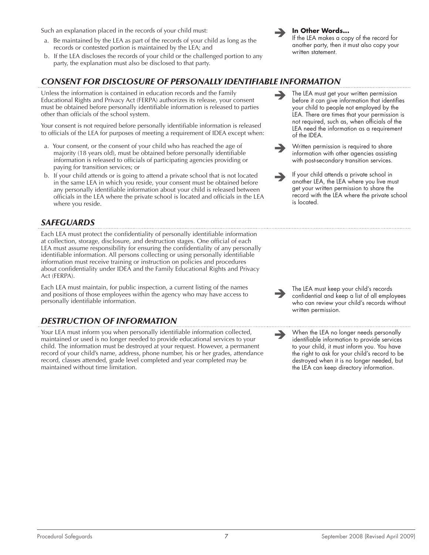Such an explanation placed in the records of your child must:

- a. Be maintained by the LEA as part of the records of your child as long as the records or contested portion is maintained by the LEA; and
- b. If the LEA discloses the records of your child or the challenged portion to any party, the explanation must also be disclosed to that party.

## *Consent for Disclosure of Personally Identifiable Information*

Unless the information is contained in education records and the Family Educational Rights and Privacy Act (FERPA) authorizes its release, your consent must be obtained before personally identifiable information is released to parties other than officials of the school system.

Your consent is not required before personally identifiable information is released to officials of the LEA for purposes of meeting a requirement of IDEA except when:

- a. Your consent, or the consent of your child who has reached the age of majority (18 years old), must be obtained before personally identifiable information is released to officials of participating agencies providing or paying for transition services; or
- b. If your child attends or is going to attend a private school that is not located in the same LEA in which you reside, your consent must be obtained before any personally identifiable information about your child is released between officials in the LEA where the private school is located and officials in the LEA where you reside.

# *Safeguards*

Each LEA must protect the confidentiality of personally identifiable information at collection, storage, disclosure, and destruction stages. One official of each LEA must assume responsibility for ensuring the confidentiality of any personally identifiable information. All persons collecting or using personally identifiable information must receive training or instruction on policies and procedures about confidentiality under IDEA and the Family Educational Rights and Privacy Act (FERPA).

Each LEA must maintain, for public inspection, a current listing of the names and positions of those employees within the agency who may have access to personally identifiable information.

# *Destruction of Information*

Your LEA must inform you when personally identifiable information collected, maintained or used is no longer needed to provide educational services to your child. The information must be destroyed at your request. However, a permanent record of your child's name, address, phone number, his or her grades, attendance record, classes attended, grade level completed and year completed may be maintained without time limitation.



#### **In Other Words...**

If the LEA makes a copy of the record for another party, then it must also copy your written statement.

- The LEA must get your written permission before it can give information that identifies your child to people not employed by the LEA. There are times that your permission is not required, such as, when officials of the LEA need the information as a requirement of the IDEA.
- $\rightarrow$ Written permission is required to share information with other agencies assisting with post-secondary transition services.
- $\rightarrow$ If your child attends a private school in another LEA, the LEA where you live must get your written permission to share the record with the LEA where the private school is located.

 The LEA must keep your child's records confidential and keep a list of all employees who can review your child's records without written permission.

 When the LEA no longer needs personally identifiable information to provide services to your child, it must inform you. You have the right to ask for your child's record to be destroyed when it is no longer needed, but the LEA can keep directory information.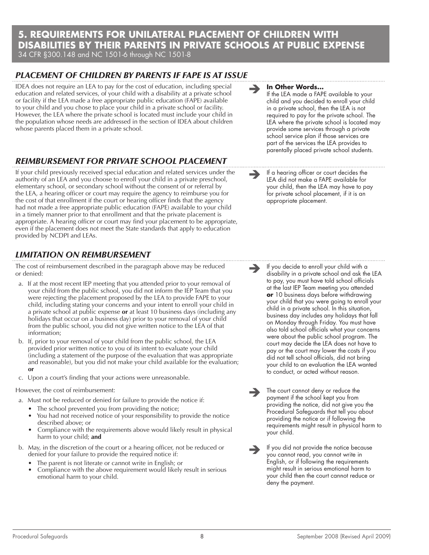## **5. REQUIREMENTS FOR UNILATERAL PLACEMENT OF CHILDREN WITH DISABILITIES BY THEIR PARENTS IN PRIVATE SCHOOLS AT PUBLIC EXPENSE** 34 CFR §300.148 and NC 1501-6 through NC 1501-8

# *Placement of Children by Parents if FAPE is at Issue*

IDEA does not require an LEA to pay for the cost of education, including special education and related services, of your child with a disability at a private school or facility if the LEA made a free appropriate public education (FAPE) available to your child and you chose to place your child in a private school or facility. However, the LEA where the private school is located must include your child in the population whose needs are addressed in the section of IDEA about children whose parents placed them in a private school.

# *Reimbursement for Private School Placement*

If your child previously received special education and related services under the authority of an LEA and you choose to enroll your child in a private preschool, elementary school, or secondary school without the consent of or referral by the LEA, a hearing officer or court may require the agency to reimburse you for the cost of that enrollment if the court or hearing officer finds that the agency had not made a free appropriate public education (FAPE) available to your child in a timely manner prior to that enrollment and that the private placement is appropriate. A hearing officer or court may find your placement to be appropriate, even if the placement does not meet the State standards that apply to education provided by NCDPI and LEAs.

# *Limitation on Reimbursement*

The cost of reimbursement described in the paragraph above may be reduced or denied:

- a. If at the most recent IEP meeting that you attended prior to your removal of your child from the public school, you did not inform the IEP Team that you were rejecting the placement proposed by the LEA to provide FAPE to your child, including stating your concerns and your intent to enroll your child in a private school at public expense **or** at least 10 business days (including any holidays that occur on a business day) prior to your removal of your child from the public school, you did not give written notice to the LEA of that information;
- b. If, prior to your removal of your child from the public school, the LEA provided prior written notice to you of its intent to evaluate your child (including a statement of the purpose of the evaluation that was appropriate and reasonable), but you did not make your child available for the evaluation; **or**
- c. Upon a court's finding that your actions were unreasonable.

#### However, the cost of reimbursement:

- a. Must not be reduced or denied for failure to provide the notice if:
	- The school prevented you from providing the notice;
	- You had not received notice of your responsibility to provide the notice described above; or
	- Compliance with the requirements above would likely result in physical harm to your child; **and**
- b. May, in the discretion of the court or a hearing officer, not be reduced or denied for your failure to provide the required notice if:
	- The parent is not literate or cannot write in English; or
	- Compliance with the above requirement would likely result in serious emotional harm to your child.

## **In Other Words...**

If the LEA made a FAPE available to your child and you decided to enroll your child in a private school, then the LEA is not required to pay for the private school. The LEA where the private school is located may provide some services through a private school service plan if those services are part of the services the LEA provides to parentally placed private school students.

 If a hearing officer or court decides the LEA did not make a FAPE available for your child, then the LEA may have to pay for private school placement, if it is an appropriate placement.

If you decide to enroll your child with a disability in a private school and ask the LEA to pay, you must have told school officials at the last IEP Team meeting you attended **or** 10 business days before withdrawing your child that you were going to enroll your child in a private school. In this situation, business day includes any holidays that fall on Monday through Friday. You must have also told school officials what your concerns were about the public school program. The court may decide the LEA does not have to pay or the court may lower the costs if you did not tell school officials, did not bring your child to an evaluation the LEA wanted to conduct, or acted without reason.

 The court cannot deny or reduce the payment if the school kept you from providing the notice, did not give you the Procedural Safeguards that tell you about providing the notice or if following the requirements might result in physical harm to your child.

 If you did not provide the notice because you cannot read, you cannot write in English, or if following the requirements might result in serious emotional harm to your child then the court cannot reduce or deny the payment.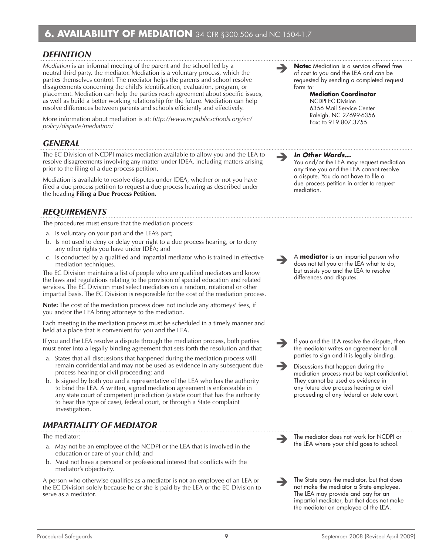# *Definition*

*Mediation* is an informal meeting of the parent and the school led by a neutral third party, the mediator. Mediation is a voluntary process, which the parties themselves control. The mediator helps the parents and school resolve disagreements concerning the child's identification, evaluation, program, or placement. Mediation can help the parties reach agreement about specific issues, as well as build a better working relationship for the future. Mediation can help resolve differences between parents and schools efficiently and effectively.

More information about mediation is at: *http://www.ncpublicschools.org/ec/ policy/dispute/mediation/*

## *General*

The EC Division of NCDPI makes mediation available to allow you and the LEA to resolve disagreements involving any matter under IDEA, including matters arising prior to the filing of a due process petition.

Mediation is available to resolve disputes under IDEA, whether or not you have filed a due process petition to request a due process hearing as described under the heading **Filing a Due Process Petition.**

## *Requirements*

The procedures must ensure that the mediation process:

- a. Is voluntary on your part and the LEA's part;
- b. Is not used to deny or delay your right to a due process hearing, or to deny any other rights you have under IDEA; and
- c. Is conducted by a qualified and impartial mediator who is trained in effective mediation techniques.

The EC Division maintains a list of people who are qualified mediators and know the laws and regulations relating to the provision of special education and related services. The EC Division must select mediators on a random, rotational or other impartial basis. The EC Division is responsible for the cost of the mediation process.

**Note:** The cost of the mediation process does not include any attorneys' fees, if you and/or the LEA bring attorneys to the mediation.

Each meeting in the mediation process must be scheduled in a timely manner and held at a place that is convenient for you and the LEA.

If you and the LEA resolve a dispute through the mediation process, both parties must enter into a legally binding agreement that sets forth the resolution and that:

- a. States that all discussions that happened during the mediation process will remain confidential and may not be used as evidence in any subsequent due process hearing or civil proceeding; and
- b. Is signed by both you and a representative of the LEA who has the authority to bind the LEA. A written, signed mediation agreement is enforceable in any state court of competent jurisdiction (a state court that has the authority to hear this type of case), federal court, or through a State complaint investigation.

# *Impartiality of Mediator*

The mediator:

- a. May not be an employee of the NCDPI or the LEA that is involved in the education or care of your child; and
- b. Must not have a personal or professional interest that conflicts with the mediator's objectivity.

A person who otherwise qualifies as a mediator is not an employee of an LEA or the EC Division solely because he or she is paid by the LEA or the EC Division to serve as a mediator.



#### **Mediation Coordinator**  NCDPI EC Division 6356 Mail Service Center Raleigh, NC 27699-6356 Fax: to 919.807.3755.

#### *In Other Words...*

You and/or the LEA may request mediation any time you and the LEA cannot resolve a dispute. You do not have to file a due process petition in order to request mediation.

 <sup>A</sup>**mediator** is an impartial person who does not tell you or the LEA what to do, but assists you and the LEA to resolve differences and disputes.

- $\rightarrow$ If you and the LEA resolve the dispute, then the mediator writes an agreement for all parties to sign and it is legally binding.
- $\rightarrow$ Discussions that happen during the mediation process must be kept confidential. They cannot be used as evidence in any future due process hearing or civil proceeding of any federal or state court.

 $\rightarrow$ The mediator does not work for NCDPI or the LEA where your child goes to school.

 $\rightarrow$ The State pays the mediator, but that does not make the mediator a State employee. The LEA may provide and pay for an impartial mediator, but that does not make the mediator an employee of the LEA.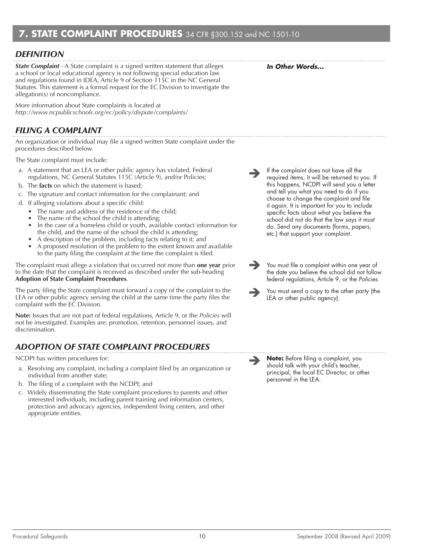# *Definition*

*State Complaint* - A State complaint is a signed written statement that alleges a school or local educational agency is not following special education law and regulations found in IDEA, Article 9 of Section 115C in the NC General Statutes. This statement is a formal request for the EC Division to investigate the allegation(s) of noncompliance.

More information about State complaints is located at *http://www.ncpublicschools.org/ec/policy/dispute/complaints/*

# *Filing a Complaint*

An organization or individual may file a signed written State complaint under the procedures described below.

The State complaint must include:

- a. A statement that an LEA or other public agency has violated, Federal regulations, NC General Statutes 115C (Article 9), and/or Policies;
- b. The **facts** on which the statement is based;
- c. The signature and contact information for the complainant; and
- d. If alleging violations about a specific child:
	- The name and address of the residence of the child;
	- The name of the school the child is attending;
	- In the case of a homeless child or youth, available contact information for the child, and the name of the school the child is attending;
	- A description of the problem, including facts relating to it; and
	- A proposed resolution of the problem to the extent known and available to the party filing the complaint at the time the complaint is filed.

The complaint must allege a violation that occurred not more than **one year** prior to the date that the complaint is received as described under the sub-heading **Adoption of State Complaint Procedures**.

The party filing the State complaint must forward a copy of the complaint to the LEA or other public agency serving the child at the same time the party files the complaint with the EC Division.

**Note:** Issues that are not part of federal regulations, Article 9, or the *Policies* will not be investigated. Examples are: promotion, retention, personnel issues, and discrimination.

# *Adoption of State Complaint Procedures*

NCDPI has written procedures for:

- a. Resolving any complaint, including a complaint filed by an organization or individual from another state;
- b. The filing of a complaint with the NCDPI; and
- c. Widely disseminating the State complaint procedures to parents and other interested individuals, including parent training and information centers, protection and advocacy agencies, independent living centers, and other appropriate entities.
- If the complaint does not have all the required items, it will be returned to you. If this happens, NCDPI will send you a letter and tell you what you need to do if you choose to change the complaint and file it again. It is important for you to include specific facts about what you believe the school did not do that the law says it must do. Send any documents (forms, papers, etc.) that support your complaint.
- $\rightarrow$ You must file a complaint within one year of the date you believe the school did not follow federal regulations, Article 9, or the *Policies.*
- $\rightarrow$ You must send a copy to the other party (the LEA or other public agency).

 **Note:** Before filing a complaint, you should talk with your child's teacher, principal, the local EC Director, or other personnel in the LEA.

*In Other Words...*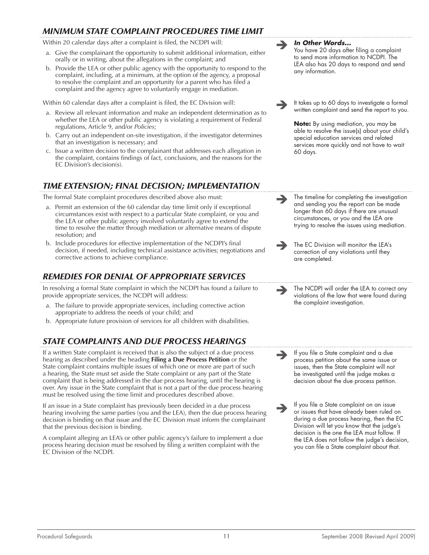# *Minimum State Complaint Procedures Time Limit*

Within 20 calendar days after a complaint is filed, the NCDPI will:

- a. Give the complainant the opportunity to submit additional information, either orally or in writing, about the allegations in the complaint; and
- b. Provide the LEA or other public agency with the opportunity to respond to the complaint, including, at a minimum, at the option of the agency, a proposal to resolve the complaint and an opportunity for a parent who has filed a complaint and the agency agree to voluntarily engage in mediation.

Within 60 calendar days after a complaint is filed, the EC Division will:

- a. Review all relevant information and make an independent determination as to whether the LEA or other public agency is violating a requirement of Federal regulations, Article 9, and/or *Policies*;
- b. Carry out an independent on-site investigation, if the investigator determines that an investigation is necessary; and
- c. Issue a written decision to the complainant that addresses each allegation in the complaint, contains findings of fact, conclusions, and the reasons for the EC Division's decision(s).

# *Time Extension; Final Decision; Implementation*

The formal State complaint procedures described above also must:

- a. Permit an extension of the 60 calendar day time limit only if exceptional circumstances exist with respect to a particular State complaint, or you and the LEA or other public agency involved voluntarily agree to extend the time to resolve the matter through mediation or alternative means of dispute resolution; and
- b. Include procedures for effective implementation of the NCDPI's final decision, if needed, including technical assistance activities; negotiations and corrective actions to achieve compliance.

# *Remedies for Denial of Appropriate Services*

In resolving a formal State complaint in which the NCDPI has found a failure to provide appropriate services, the NCDPI will address:

- a. The failure to provide appropriate services, including corrective action appropriate to address the needs of your child; and
- b. Appropriate future provision of services for all children with disabilities.

# *State Complaints and Due Process Hearings*

If a written State complaint is received that is also the subject of a due process hearing as described under the heading **Filing a Due Process Petition** or the State complaint contains multiple issues of which one or more are part of such a hearing, the State must set aside the State complaint or any part of the State complaint that is being addressed in the due process hearing, until the hearing is over. Any issue in the State complaint that is not a part of the due process hearing must be resolved using the time limit and procedures described above.

If an issue in a State complaint has previously been decided in a due process hearing involving the same parties (you and the LEA), then the due process hearing decision is binding on that issue and the EC Division must inform the complainant that the previous decision is binding.

A complaint alleging an LEA's or other public agency's failure to implement a due process hearing decision must be resolved by filing a written complaint with the EC Division of the NCDPI.

# *In Other Words...* You have 20 days after filing a complaint to send more information to NCDPI. The LEA also has 20 days to respond and send any information. It takes up to 60 days to investigate a formal written complaint and send the report to you. **Note:** By using mediation, you may be able to resolve the issue(s) about your child's special education services and related services more quickly and not have to wait 60 days.  $\rightarrow$  $\rightarrow$ The timeline for completing the investigation and sending you the report can be made longer than 60 days if there are unusual circumstances, or you and the LEA are trying to resolve the issues using mediation. The EC Division will monitor the LEA's correction of any violations until they are completed. The NCDPI will order the LEA to correct any violations of the law that were found during the complaint investigation.

 $\rightarrow$ If you file a State complaint and a due process petition about the same issue or issues, then the State complaint will not be investigated until the judge makes a decision about the due process petition.

 $\rightarrow$ If you file a State complaint on an issue or issues that have already been ruled on during a due process hearing, then the EC Division will let you know that the judge's decision is the one the LEA must follow. If the LEA does not follow the judge's decision, you can file a State complaint about that.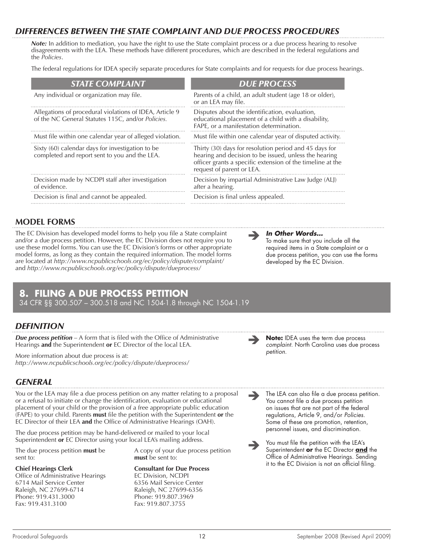# *Differences Between the State Complaint and Due Process Procedures*

*Note:* In addition to mediation, you have the right to use the State complaint process or a due process hearing to resolve disagreements with the LEA. These methods have different procedures, which are described in the federal regulations and the *Policies*.

The federal regulations for IDEA specify separate procedures for State complaints and for requests for due process hearings.

| <b>STATE COMPLAINT</b>                                                                                       | <b>DUE PROCESS</b>                                                                                                                                                                                         |
|--------------------------------------------------------------------------------------------------------------|------------------------------------------------------------------------------------------------------------------------------------------------------------------------------------------------------------|
| Any individual or organization may file.                                                                     | Parents of a child, an adult student (age 18 or older),<br>or an LEA may file.                                                                                                                             |
| Allegations of procedural violations of IDEA, Article 9<br>of the NC General Statutes 115C, and/or Policies. | Disputes about the identification, evaluation,<br>educational placement of a child with a disability,<br>FAPE, or a manifestation determination.                                                           |
| Must file within one calendar year of alleged violation.                                                     | Must file within one calendar year of disputed activity.                                                                                                                                                   |
| Sixty (60) calendar days for investigation to be<br>completed and report sent to you and the LEA.            | Thirty (30) days for resolution period and 45 days for<br>hearing and decision to be issued, unless the hearing<br>officer grants a specific extension of the timeline at the<br>request of parent or LEA. |
| Decision made by NCDPI staff after investigation<br>of evidence.                                             | Decision by impartial Administrative Law Judge (ALJ)<br>after a hearing.                                                                                                                                   |
| Decision is final and cannot be appealed.                                                                    | Decision is final unless appealed.                                                                                                                                                                         |

## **Model Forms**

The EC Division has developed model forms to help you file a State complaint and/or a due process petition. However, the EC Division does not require you to use these model forms. You can use the EC Division's forms or other appropriate model forms, as long as they contain the required information. The model forms are located at *http://www.ncpublicschools.org/ec/policy/dispute/complaint/*  and *http://www.ncpublicschools.org/ec/policy/dispute/dueprocess/* 

# **8. FILING A DUE PROCESS PETITION**

34 CFR §§ 300.507 – 300.518 and NC 1504-1.8 through NC 1504-1.19

# *Definition*

*Due process petition* – A form that is filed with the Office of Administrative Hearings **and** the Superintendent **or** EC Director of the local LEA.

More information about due process is at: *http://www.ncpublicschools.org/ec/policy/dispute/dueprocess/*

# *General*

You or the LEA may file a due process petition on any matter relating to a proposal or a refusal to initiate or change the identification, evaluation or educational placement of your child or the provision of a free appropriate public education (FAPE) to your child. Parents **must** file the petition with the Superintendent **or** the EC Director of their LEA **and** the Office of Administrative Hearings (OAH).

The due process petition may be hand-delivered or mailed to your local Superintendent **or** EC Director using your local LEA's mailing address.

The due process petition **must** be sent to:

#### **Chief Hearings Clerk**

Office of Administrative Hearings 6714 Mail Service Center Raleigh, NC 27699-6714 Phone: 919.431.3000 Fax: 919.431.3100

A copy of your due process petition **must** be sent to:

## **Consultant for Due Process** EC Division, NCDPI 6356 Mail Service Center

Raleigh, NC 27699-6356 Phone: 919.807.3969 Fax: 919.807.3755

*In Other Words…*

To make sure that you include all the required items in a State complaint or a due process petition, you can use the forms developed by the EC Division.

 **Note:** IDEA uses the term due process *complaint.* North Carolina uses due process *petition.*

The LEA can also file a due process petition. You cannot file a due process petition on issues that are not part of the federal regulations, Article 9, and/or *Policies.* Some of these are promotion, retention, personnel issues, and discrimination.

 $\rightarrow$ 

 $\rightarrow$ You must file the petition with the LEA's Superintendent **or** the EC Director **and** the Office of Administrative Hearings. Sending it to the EC Division is not an official filing.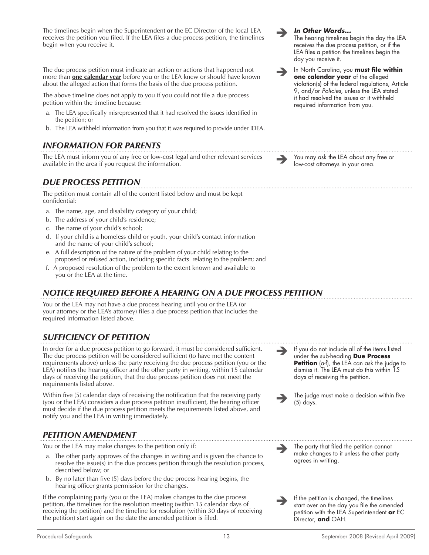The timelines begin when the Superintendent **or** the EC Director of the local LEA receives the petition you filed. If the LEA files a due process petition, the timelines begin when you receive it.

The due process petition must indicate an action or actions that happened not more than **one calendar year** before you or the LEA knew or should have known about the alleged action that forms the basis of the due process petition.

The above timeline does not apply to you if you could not file a due process petition within the timeline because:

- a. The LEA specifically misrepresented that it had resolved the issues identified in the petition; or
- b. The LEA withheld information from you that it was required to provide under IDEA.

# *Information for Parents*

The LEA must inform you of any free or low-cost legal and other relevant services and the sea wailable in the area if you request the information.<br>The LEA about any free or low-cost attorneys in your area.

# *Due Process Petition*

The petition must contain all of the content listed below and must be kept confidential:

- a. The name, age, and disability category of your child;
- b. The address of your child's residence;
- c. The name of your child's school;
- d. If your child is a homeless child or youth, your child's contact information and the name of your child's school;
- e. A full description of the nature of the problem of your child relating to the proposed or refused action, including specific facts relating to the problem; and
- f. A proposed resolution of the problem to the extent known and available to you or the LEA at the time.

# *Notice Required Before a Hearing on a Due Process Petition*

You or the LEA may not have a due process hearing until you or the LEA (or your attorney or the LEA's attorney) files a due process petition that includes the required information listed above.

# *Sufficiency of Petition*

In order for a due process petition to go forward, it must be considered sufficient. The due process petition will be considered sufficient (to have met the content requirements above) unless the party receiving the due process petition (you or the LEA) notifies the hearing officer and the other party in writing, within 15 calendar days of receiving the petition, that the due process petition does not meet the requirements listed above.

Within five (5) calendar days of receiving the notification that the receiving party (you or the LEA) considers a due process petition insufficient, the hearing officer must decide if the due process petition meets the requirements listed above, and notify you and the LEA in writing immediately.

# *Petition Amendment*

You or the LEA may make changes to the petition only if:

- a. The other party approves of the changes in writing and is given the chance to resolve the issue(s) in the due process petition through the resolution process, described below; or
- b. By no later than five (5) days before the due process hearing begins, the hearing officer grants permission for the changes.

If the complaining party (you or the LEA) makes changes to the due process petition, the timelines for the resolution meeting (within 15 calendar days of receiving the petition) and the timeline for resolution (within 30 days of receiving the petition) start again on the date the amended petition is filed.



If you do not include all of the items listed under the sub-heading **Due Process Petition** (a-f), the LEA can ask the judge to dismiss it. The LEA must do this within 15

The judge must make a decision within five

The party that filed the petition cannot make changes to it unless the other party

If the petition is changed, the timelines start over on the day you file the amended petition with the LEA Superintendent **or** EC

days of receiving the petition.

 $\rightarrow$ 

 $\rightarrow$ 

 $\rightarrow$ 

 $\rightarrow$ 

(5) days.

agrees in writing.

Director, **and** OAH.

## *In Other Words...*

The hearing timelines begin the day the LEA receives the due process petition, or if the LEA files a petition the timelines begin the day you receive it.

 In North Carolina, you **must file within one calendar year** of the alleged violation(s) of the federal regulations, Article 9, and/or *Policies,* unless the LEA stated it had resolved the issues or it withheld required information from you.

low-cost attorneys in your area.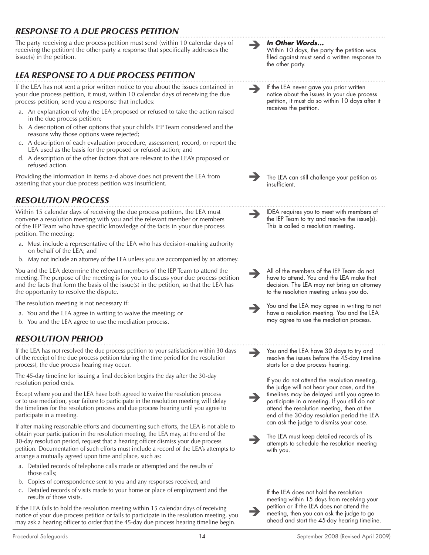# *Response to a Due Process Petition*

The party receiving a due process petition must send (within 10 calendar days of receiving the petition) the other party a response that specifically addresses the issue(s) in the petition.

# *LEA Response to a Due Process Petition*

If the LEA has not sent a prior written notice to you about the issues contained in your due process petition, it must, within 10 calendar days of receiving the due process petition, send you a response that includes:

- a. An explanation of why the LEA proposed or refused to take the action raised in the due process petition;
- b. A description of other options that your child's IEP Team considered and the reasons why those options were rejected;
- c. A description of each evaluation procedure, assessment, record, or report the LEA used as the basis for the proposed or refused action; and
- d. A description of the other factors that are relevant to the LEA's proposed or refused action.

Providing the information in items a-d above does not prevent the LEA from asserting that your due process petition was insufficient.

# *Resolution Process*

Within 15 calendar days of receiving the due process petition, the LEA must convene a resolution meeting with you and the relevant member or members of the IEP Team who have specific knowledge of the facts in your due process petition. The meeting:

- a. Must include a representative of the LEA who has decision-making authority on behalf of the LEA; and
- b. May not include an attorney of the LEA unless you are accompanied by an attorney.

You and the LEA determine the relevant members of the IEP Team to attend the meeting. The purpose of the meeting is for you to discuss your due process petition and the facts that form the basis of the issue(s) in the petition, so that the LEA has the opportunity to resolve the dispute.

The resolution meeting is not necessary if:

- a. You and the LEA agree in writing to waive the meeting; or
- b. You and the LEA agree to use the mediation process.

# *Resolution Period*

If the LEA has not resolved the due process petition to your satisfaction within 30 days of the receipt of the due process petition (during the time period for the resolution process), the due process hearing may occur.

The 45-day timeline for issuing a final decision begins the day after the 30-day resolution period ends.

Except where you and the LEA have both agreed to waive the resolution process or to use mediation, your failure to participate in the resolution meeting will delay the timelines for the resolution process and due process hearing until you agree to participate in a meeting.

If after making reasonable efforts and documenting such efforts, the LEA is not able to obtain your participation in the resolution meeting, the LEA may, at the end of the 30-day resolution period, request that a hearing officer dismiss your due process petition. Documentation of such efforts must include a record of the LEA's attempts to arrange a mutually agreed upon time and place, such as:

- a. Detailed records of telephone calls made or attempted and the results of those calls;
- b. Copies of correspondence sent to you and any responses received; and
- c. Detailed records of visits made to your home or place of employment and the results of those visits.

If the LEA fails to hold the resolution meeting within 15 calendar days of receiving notice of your due process petition or fails to participate in the resolution meeting, you may ask a hearing officer to order that the 45-day due process hearing timeline begin.

 $\rightarrow$ 



 $\rightarrow$ 

 $\rightarrow$ 

Within 10 days, the party the petition was filed against must send a written response to the other party.

If the LEA never gave you prior written notice about the issues in your due process petition, it must do so within 10 days after it receives the petition.

 $\rightarrow$ The LEA can still challenge your petition as insufficient.

IDEA requires you to meet with members of the IEP Team to try and resolve the issue(s). This is called a resolution meeting.

- $\rightarrow$ All of the members of the IEP Team do not have to attend. You and the LEA make that decision. The LEA may not bring an attorney to the resolution meeting unless you do.
- $\rightarrow$ You and the LEA may agree in writing to not have a resolution meeting. You and the LEA may agree to use the mediation process.
- $\rightarrow$ You and the LEA have 30 days to try and resolve the issues before the 45-day timeline starts for a due process hearing.

 $\rightarrow$ If you do not attend the resolution meeting, the judge will not hear your case, and the timelines may be delayed until you agree to participate in a meeting. If you still do not attend the resolution meeting, then at the end of the 30-day resolution period the LEA can ask the judge to dismiss your case.

 $\rightarrow$ The LEA must keep detailed records of its attempts to schedule the resolution meeting with you.

> If the LEA does not hold the resolution meeting within 15 days from receiving your petition or if the LEA does not attend the meeting, then you can ask the judge to go ahead and start the 45-day hearing timeline.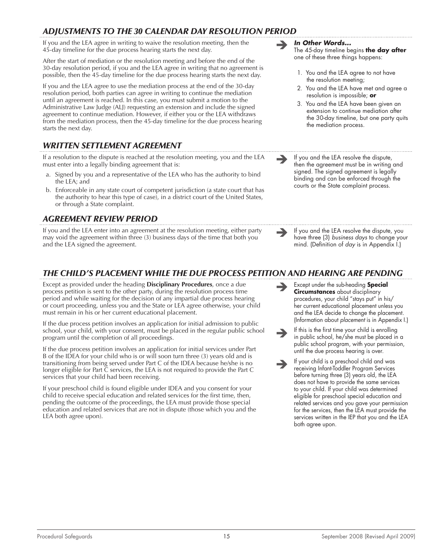# *Adjustments to the 30 Calendar Day Resolution Period*

If you and the LEA agree in writing to waive the resolution meeting, then the 45-day timeline for the due process hearing starts the next day.

After the start of mediation or the resolution meeting and before the end of the 30-day resolution period, if you and the LEA agree in writing that no agreement is possible, then the 45-day timeline for the due process hearing starts the next day.

If you and the LEA agree to use the mediation process at the end of the 30-day resolution period, both parties can agree in writing to continue the mediation until an agreement is reached. In this case, you must submit a motion to the Administrative Law Judge (ALJ) requesting an extension and include the signed agreement to continue mediation. However, if either you or the LEA withdraws from the mediation process, then the 45-day timeline for the due process hearing starts the next day.

# *Written Settlement Agreement*

If a resolution to the dispute is reached at the resolution meeting, you and the LEA must enter into a legally binding agreement that is:

- a. Signed by you and a representative of the LEA who has the authority to bind the LEA; and
- b. Enforceable in any state court of competent jurisdiction (a state court that has the authority to hear this type of case), in a district court of the United States, or through a State complaint.

## *Agreement Review Period*

If you and the LEA enter into an agreement at the resolution meeting, either party may void the agreement within three (3) business days of the time that both you and the LEA signed the agreement.

# *The Child's Placement While the Due Process Petition and Hearing are Pending*

Except as provided under the heading **Disciplinary Procedures**, once a due process petition is sent to the other party, during the resolution process time period and while waiting for the decision of any impartial due process hearing or court proceeding, unless you and the State or LEA agree otherwise, your child must remain in his or her current educational placement.

If the due process petition involves an application for initial admission to public school, your child, with your consent, must be placed in the regular public school program until the completion of all proceedings.

If the due process petition involves an application for initial services under Part B of the IDEA for your child who is or will soon turn three (3) years old and is transitioning from being served under Part C of the IDEA because he/she is no longer eligible for Part C services, the LEA is not required to provide the Part C services that your child had been receiving.

If your preschool child is found eligible under IDEA and you consent for your child to receive special education and related services for the first time, then, pending the outcome of the proceedings, the LEA must provide those special education and related services that are not in dispute (those which you and the LEA both agree upon).

*In Other Words...*

The 45-day timeline begins **the day after** one of these three things happens:

- 1*.* You and the LEA agree to not have the resolution meeting;
- 2*.* You and the LEA have met and agree a resolution is impossible; **or**
- 3*.* You and the LEA have been given an extension to continue mediation after the 30-day timeline, but one party quits the mediation process.
- If you and the LEA resolve the dispute, then the agreement must be in writing and signed. The signed agreement is legally binding and can be enforced through the courts or the State complaint process.
- If you and the LEA resolve the dispute, you have three (3) *business days* to change your mind. (Definition of *day* is in Appendix I.)
- $\rightarrow$ Except under the sub-heading **Special Circumstances** about disciplinary procedures, your child "stays put" in his/ her current educational placement unless you and the LEA decide to change the placement. (Information about *placement* is in Appendix I.)
- $\rightarrow$ If this is the first time your child is enrolling in public school, he/she must be placed in a public school program, with your permission, until the due process hearing is over.
- $\rightarrow$ If your child is a preschool child and was receiving Infant-Toddler Program Services before turning three (3) years old, the LEA does not have to provide the same services to your child. If your child was determined eligible for preschool special education and related services and you gave your permission for the services, then the LEA must provide the services written in the IEP that you and the LEA both agree upon.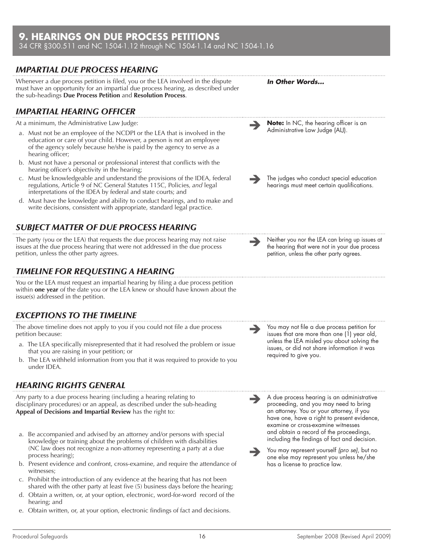# **9. HEARINGS ON DUE PROCESS PETITIONS**

34 CFR §300.511 and NC 1504-1.12 through NC 1504-1.14 and NC 1504-1.16

# *Impartial Due Process Hearing*

Whenever a due process petition is filed, you or the LEA involved in the dispute must have an opportunity for an impartial due process hearing, as described under the sub-headings **Due Process Petition** and **Resolution Process**.

# *Impartial Hearing Officer*



- a. Must not be an employee of the NCDPI or the LEA that is involved in the education or care of your child. However, a person is not an employee of the agency solely because he/she is paid by the agency to serve as a hearing officer;
- b. Must not have a personal or professional interest that conflicts with the hearing officer's objectivity in the hearing;
- c. Must be knowledgeable and understand the provisions of the IDEA, federal regulations, Article 9 of NC General Statutes 115C, Policies*, and* legal interpretations of the IDEA by federal and state courts; and
- d. Must have the knowledge and ability to conduct hearings, and to make and write decisions, consistent with appropriate, standard legal practice.

# *Subject Matter of Due Process Hearing*

The party (you or the LEA) that requests the due process hearing may not raise issues at the due process hearing that were not addressed in the due process petition, unless the other party agrees.

# *Timeline for Requesting a Hearing*

You or the LEA must request an impartial hearing by filing a due process petition within **one year** of the date you or the LEA knew or should have known about the issue(s) addressed in the petition.

# *Exceptions to the Timeline*

The above timeline does not apply to you if you could not file a due process petition because:

- a. The LEA specifically misrepresented that it had resolved the problem or issue that you are raising in your petition; or
- b. The LEA withheld information from you that it was required to provide to you under IDEA.

# *Hearing Rights General*

Any party to a due process hearing (including a hearing relating to disciplinary procedures) or an appeal, as described under the sub-heading **Appeal of Decisions and Impartial Review** has the right to:

- a. Be accompanied and advised by an attorney and/or persons with special knowledge or training about the problems of children with disabilities (NC law does not recognize a non-attorney representing a party at a due process hearing);
- b. Present evidence and confront, cross-examine, and require the attendance of witnesses;
- c. Prohibit the introduction of any evidence at the hearing that has not been shared with the other party at least five (5) business days before the hearing;
- d. Obtain a written, or, at your option, electronic, word-for-word record of the hearing; and
- e. Obtain written, or, at your option, electronic findings of fact and decisions.

 You may not file a due process petition for issues that are more than one (1) year old, unless the LEA misled you about solving the issues, or did not share information it was required to give you.

*In Other Words...*

**Note:** In NC, the hearing officer is an Administrative Law Judge (ALJ).

The judges who conduct special education hearings must meet certain qualifications.

 Neither you nor the LEA can bring up issues at the hearing that were not in your due process petition, unless the other party agrees.

 $\rightarrow$ 

 $\rightarrow$ 

 $\rightarrow$ A due process hearing is an administrative proceeding, and you may need to bring an attorney. You or your attorney, if you have one, have a right to present evidence, examine or cross-examine witnesses and obtain a record of the proceedings, including the findings of fact and decision.

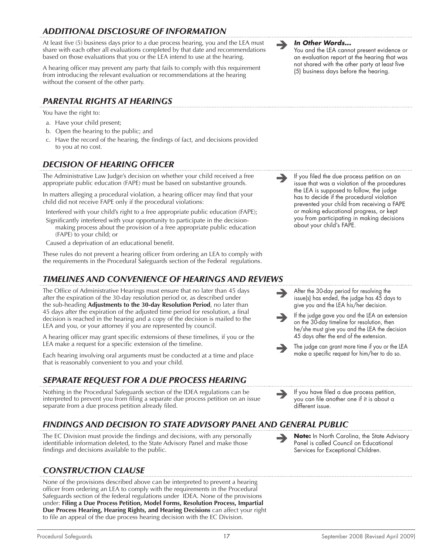# *Additional Disclosure of Information*

At least five (5) business days prior to a due process hearing, you and the LEA must share with each other all evaluations completed by that date and recommendations based on those evaluations that you or the LEA intend to use at the hearing.

A hearing officer may prevent any party that fails to comply with this requirement from introducing the relevant evaluation or recommendations at the hearing without the consent of the other party.

# *Parental Rights at Hearings*

You have the right to:

- a. Have your child present;
- b. Open the hearing to the public; and
- c. Have the record of the hearing, the findings of fact, and decisions provided to you at no cost.

# *Decision of Hearing Officer*

The Administrative Law Judge's decision on whether your child received a free appropriate public education (FAPE) must be based on substantive grounds.

In matters alleging a procedural violation, a hearing officer may find that your child did not receive FAPE only if the procedural violations:

Interfered with your child's right to a free appropriate public education (FAPE);

Significantly interfered with your opportunity to participate in the decisionmaking process about the provision of a free appropriate public education (FAPE) to your child; or

Caused a deprivation of an educational benefit.

These rules do not prevent a hearing officer from ordering an LEA to comply with the requirements in the Procedural Safeguards section of the Federal regulations.

# *Timelines and Convenience of Hearings and Reviews*

The Office of Administrative Hearings must ensure that no later than 45 days after the expiration of the 30-day resolution period or, as described under the sub-heading **Adjustments to the 30-day Resolution Period**, no later than 45 days after the expiration of the adjusted time period for resolution, a final decision is reached in the hearing and a copy of the decision is mailed to the LEA and you, or your attorney if you are represented by council.

A hearing officer may grant specific extensions of these timelines, if you or the LEA make a request for a specific extension of the timeline.

Each hearing involving oral arguments must be conducted at a time and place that is reasonably convenient to you and your child.

# *Separate Request for a Due Process Hearing*

Nothing in the Procedural Safeguards section of the IDEA regulations can be interpreted to prevent you from filing a separate due process petition on an issue separate from a due process petition already filed.

# *Findings and Decision to State Advisory Panel and General Public*

The EC Division must provide the findings and decisions, with any personally identifiable information deleted, to the State Advisory Panel and make those findings and decisions available to the public.

# *Construction clause*

None of the provisions described above can be interpreted to prevent a hearing officer from ordering an LEA to comply with the requirements in the Procedural Safeguards section of the federal regulations under IDEA. None of the provisions under: **Filing a Due Process Petition, Model Forms, Resolution Process, Impartial Due Process Hearing, Hearing Rights, and Hearing Decisions** can affect your right to file an appeal of the due process hearing decision with the EC Division.

**In Other Words...**<br>You and the LEA cannot present evidence or an evaluation report at the hearing that was not shared with the other party at least five (5) business days before the hearing.

 If you filed the due process petition on an issue that was a violation of the procedures the LEA is supposed to follow, the judge has to decide if the procedural violation prevented your child from receiving a FAPE or making educational progress, or kept you from participating in making decisions about your child's FAPE.

 $\rightarrow$ After the 30-day period for resolving the issue(s) has ended, the judge has 45 days to give you and the LEA his/her decision.

 $\rightarrow$ If the judge gave you and the LEA an extension on the 30-day timeline for resolution, then he/she must give you and the LEA the decision 45 days after the end of the extension.

 $\rightarrow$ The judge can grant more time if you or the LEA make a specific request for him/her to do so.

 If you have filed a due process petition, you can file another one if it is about a different issue.

 **Note:** In North Carolina, the State Advisory Panel is called Council on Educational Services for Exceptional Children.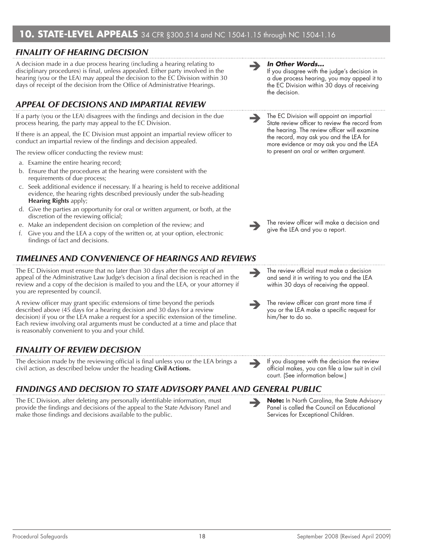# **10. STATE-LEVEL APPEALS** 34 CFR §300.514 and NC 1504-1.15 through NC 1504-1.16

# *Finality of Hearing Decision*

A decision made in a due process hearing (including a hearing relating to disciplinary procedures) is final, unless appealed. Either party involved in the hearing (you or the LEA) may appeal the decision to the EC Division within 30 days of receipt of the decision from the Office of Administrative Hearings.

# *Appeal of Decisions and Impartial Review*

If a party (you or the LEA) disagrees with the findings and decision in the due process hearing, the party may appeal to the EC Division.

If there is an appeal, the EC Division must appoint an impartial review officer to conduct an impartial review of the findings and decision appealed.

The review officer conducting the review must:

- a. Examine the entire hearing record;
- b. Ensure that the procedures at the hearing were consistent with the requirements of due process;
- c. Seek additional evidence if necessary. If a hearing is held to receive additional evidence, the hearing rights described previously under the sub-heading **Hearing Rights** apply;
- d. Give the parties an opportunity for oral or written argument, or both, at the discretion of the reviewing official;
- e. Make an independent decision on completion of the review; and
- f. Give you and the LEA a copy of the written or, at your option, electronic findings of fact and decisions.

# *Timelines and Convenience of Hearings and Reviews*

The EC Division must ensure that no later than 30 days after the receipt of an appeal of the Administrative Law Judge's decision a final decision is reached in the review and a copy of the decision is mailed to you and the LEA, or your attorney if you are represented by council.

A review officer may grant specific extensions of time beyond the periods described above (45 days for a hearing decision and 30 days for a review decision) if you or the LEA make a request for a specific extension of the timeline. Each review involving oral arguments must be conducted at a time and place that is reasonably convenient to you and your child.

# *Finality of Review Decision*

The decision made by the reviewing official is final unless you or the LEA brings a<br>civil action, as described below under the heading **Civil Actions.** The setting official makes, you can file a law suit in civil

# *Findings and Decision to State Advisory Panel and General Public*

The EC Division, after deleting any personally identifiable information, must provide the findings and decisions of the appeal to the State Advisory Panel and make those findings and decisions available to the public.

#### *In Other Words...*

 $\rightarrow$ 

 $\rightarrow$ 

 $\rightarrow$ 

 $\rightarrow$ 

If you disagree with the judge's decision in a due process hearing, you may appeal it to the EC Division within 30 days of receiving the decision.

The EC Division will appoint an impartial State review officer to review the record from the hearing. The review officer will examine the record, may ask you and the LEA for more evidence or may ask you and the LEA to present an oral or written argument.

The review officer will make a decision and give the LEA and you a report.

The review official must make a decision and send it in writing to you and the LEA within 30 days of receiving the appeal.

The review officer can grant more time if you or the LEA make a specific request for him/her to do so.

official makes, you can file a law suit in civil court. (See information below.)

 **Note:** In North Carolina, the State Advisory Panel is called the Council on Educational Services for Exceptional Children.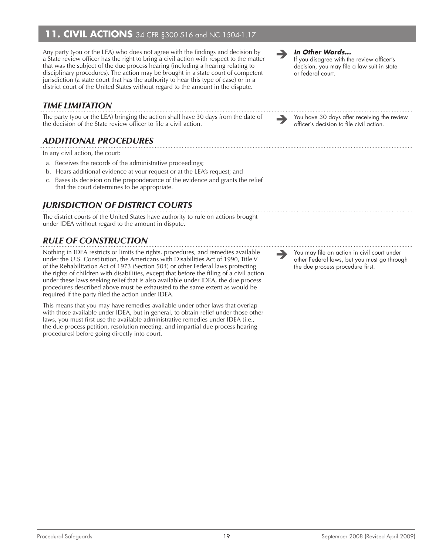# **11. CIVIL ACTIONS** 34 CFR §300.516 and NC 1504-1.17

Any party (you or the LEA) who does not agree with the findings and decision by a State review officer has the right to bring a civil action with respect to the matter that was the subject of the due process hearing (including a hearing relating to disciplinary procedures). The action may be brought in a state court of competent jurisdiction (a state court that has the authority to hear this type of case) or in a district court of the United States without regard to the amount in the dispute.

# *Time Limitation*

The party (you or the LEA) bringing the action shall have 30 days from the date of You have 30 days after receiving the review the decision of the State review officer's decision to file civil action.

# *Additional Procedures*

In any civil action, the court:

- a. Receives the records of the administrative proceedings;
- b. Hears additional evidence at your request or at the LEA's request; and
- c. Bases its decision on the preponderance of the evidence and grants the relief that the court determines to be appropriate.

# *Jurisdiction of District Courts*

The district courts of the United States have authority to rule on actions brought under IDEA without regard to the amount in dispute.

# *Rule of Construction*

Nothing in IDEA restricts or limits the rights, procedures, and remedies available under the U.S. Constitution, the Americans with Disabilities Act of 1990, Title V of the Rehabilitation Act of 1973 (Section 504) or other Federal laws protecting the rights of children with disabilities, except that before the filing of a civil action under these laws seeking relief that is also available under IDEA, the due process procedures described above must be exhausted to the same extent as would be required if the party filed the action under IDEA.

This means that you may have remedies available under other laws that overlap with those available under IDEA, but in general, to obtain relief under those other laws, you must first use the available administrative remedies under IDEA (i.e., the due process petition, resolution meeting, and impartial due process hearing procedures) before going directly into court.

*In Other Words...*

If you disagree with the review officer's decision, you may file a law suit in state or federal court.

officer's decision to file civil action.

 You may file an action in civil court under other Federal laws, but you must go through the due process procedure first.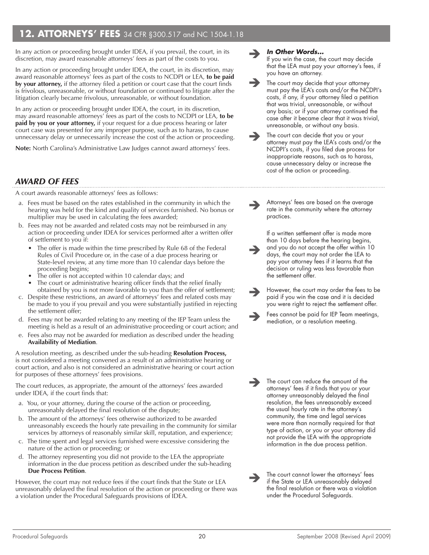# **12. ATTORNEYS' FEES** 34 CFR §300.517 and NC 1504-1.18

In any action or proceeding brought under IDEA, if you prevail, the court, in its discretion, may award reasonable attorneys' fees as part of the costs to you.

In any action or proceeding brought under IDEA, the court, in its discretion, may award reasonable attorneys' fees as part of the costs to NCDPI or LEA, **to be paid by your attorney,** if the attorney filed a petition or court case that the court finds is frivolous, unreasonable, or without foundation or continued to litigate after the litigation clearly became frivolous, unreasonable, or without foundation.

In any action or proceeding brought under IDEA, the court, in its discretion, may award reasonable attorneys' fees as part of the costs to NCDPI or LEA, **to be paid by you or your attorney,** if your request for a due process hearing or later court case was presented for any improper purpose, such as to harass, to cause unnecessary delay or unnecessarily increase the cost of the action or proceeding.

**Note:** North Carolina's Administrative Law Judges cannot award attorneys' fees.

# *Award of Fees*

A court awards reasonable attorneys' fees as follows:

- a. Fees must be based on the rates established in the community in which the hearing was held for the kind and quality of services furnished. No bonus or multiplier may be used in calculating the fees awarded;
- b. Fees may not be awarded and related costs may not be reimbursed in any action or proceeding under IDEA for services performed after a written offer of settlement to you if:
	- The offer is made within the time prescribed by Rule 68 of the Federal Rules of Civil Procedure or, in the case of a due process hearing or State-level review, at any time more than 10 calendar days before the proceeding begins;
	- The offer is not accepted within 10 calendar days; and
	- The court or administrative hearing officer finds that the relief finally obtained by you is not more favorable to you than the offer of settlement;
- c. Despite these restrictions, an award of attorneys' fees and related costs may be made to you if you prevail and you were substantially justified in rejecting the settlement offer;
- d. Fees may not be awarded relating to any meeting of the IEP Team unless the meeting is held as a result of an administrative proceeding or court action; and
- e. Fees also may not be awarded for mediation as described under the heading **Availability of Mediation**.

A resolution meeting, as described under the sub-heading **Resolution Process,**  is not considered a meeting convened as a result of an administrative hearing or court action, and also is not considered an administrative hearing or court action for purposes of these attorneys' fees provisions.

The court reduces, as appropriate, the amount of the attorneys' fees awarded under IDEA, if the court finds that:

- a. You, or your attorney, during the course of the action or proceeding, unreasonably delayed the final resolution of the dispute;
- b. The amount of the attorneys' fees otherwise authorized to be awarded unreasonably exceeds the hourly rate prevailing in the community for similar services by attorneys of reasonably similar skill, reputation, and experience;
- c. The time spent and legal services furnished were excessive considering the nature of the action or proceeding; or
- d. The attorney representing you did not provide to the LEA the appropriate information in the due process petition as described under the sub-heading **Due Process Petition**.

However, the court may not reduce fees if the court finds that the State or LEA unreasonably delayed the final resolution of the action or proceeding or there was a violation under the Procedural Safeguards provisions of IDEA.

#### $\rightarrow$ *In Other Words...*

If you win the case, the court may decide that the LEA must pay your attorney's fees, if you have an attorney.

- $\rightarrow$ The court may decide that your attorney must pay the LEA's costs and/or the NCDPI's costs, if any, if your attorney filed a petition that was trivial, unreasonable, or without any basis; or if your attorney continued the case after it became clear that it was trivial, unreasonable, or without any basis.
- $\rightarrow$ The court can decide that you or your attorney must pay the LEA's costs and/or the NCDPI's costs, if you filed due process for inappropriate reasons, such as to harass, cause unnecessary delay or increase the cost of the action or proceeding.

 $\rightarrow$ Attorneys' fees are based on the average rate in the community where the attorney practices.

 $\rightarrow$ If a written settlement offer is made more than 10 days before the hearing begins, and you do not accept the offer within 10 days, the court may not order the LEA to pay your attorney fees if it learns that the decision or ruling was less favorable than the settlement offer.

- $\rightarrow$ However, the court may order the fees to be paid if you win the case and it is decided you were right to reject the settlement offer.
- $\rightarrow$ Fees cannot be paid for IEP Team meetings, mediation, or a resolution meeting.

The court can reduce the amount of the<br>ottorneys' fees if it finds that you or your attorneys' fees if it finds that you or your attorney unreasonably delayed the final resolution, the fees unreasonably exceed the usual hourly rate in the attorney's community, the time and legal services were more than normally required for that type of action, or you or your attorney did not provide the LEA with the appropriate information in the due process petition.

 $\rightarrow$ The court cannot lower the attorneys' fees if the State or LEA unreasonably delayed the final resolution or there was a violation under the Procedural Safeguards.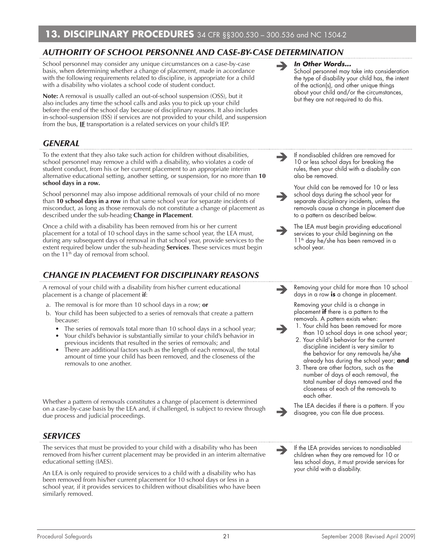# *Authority of School Personnel and Case-by-Case Determination*

School personnel may consider any unique circumstances on a case-by-case basis, when determining whether a change of placement, made in accordance with the following requirements related to discipline, is appropriate for a child with a disability who violates a school code of student conduct.

**Note:** A removal is usually called an out-of-school suspension (OSS), but it also includes any time the school calls and asks you to pick up your child before the end of the school day because of disciplinary reasons. It also includes in-school-suspension (ISS) if services are not provided to your child, and suspension from the bus, **IF** transportation is a related services on your child's IEP.

# *General*

To the extent that they also take such action for children without disabilities, school personnel may remove a child with a disability, who violates a code of student conduct, from his or her current placement to an appropriate interim alternative educational setting, another setting, or suspension, for no more than **10 school days in a row.**

School personnel may also impose additional removals of your child of no more than **10 school days in a row** in that same school year for separate incidents of misconduct, as long as those removals do not constitute a change of placement as described under the sub-heading **Change in Placement**.

Once a child with a disability has been removed from his or her current placement for a total of 10 school days in the same school year, the LEA must, during any subsequent days of removal in that school year, provide services to the extent required below under the sub-heading **Services**. These services must begin on the  $11<sup>th</sup>$  day of removal from school.

# *Change in Placement for Disciplinary Reasons*

A removal of your child with a disability from his/her current educational placement is a change of placement **if**:

- a. The removal is for more than 10 school days in a row; **or**
- b. Your child has been subjected to a series of removals that create a pattern because:
	- The series of removals total more than 10 school days in a school year;
	- Your child's behavior is substantially similar to your child's behavior in previous incidents that resulted in the series of removals; and
	- There are additional factors such as the length of each removal, the total amount of time your child has been removed, and the closeness of the removals to one another.

Whether a pattern of removals constitutes a change of placement is determined on a case-by-case basis by the LEA and, if challenged, is subject to review through due process and judicial proceedings.

# *Services*

The services that must be provided to your child with a disability who has been removed from his/her current placement may be provided in an interim alternative educational setting (IAES).

An LEA is only required to provide services to a child with a disability who has been removed from his/her current placement for 10 school days or less in a school year, if it provides services to children without disabilities who have been similarly removed.

#### *In Other Words...*

 $\rightarrow$ 

 $\rightarrow$ 

School personnel may take into consideration the type of disability your child has, the intent of the action(s), and other unique things about your child and/or the circumstances, but they are not required to do this.

 $\rightarrow$ If nondisabled children are removed for 10 or less school days for breaking the rules, then your child with a disability can also be removed.

> Your child can be removed for 10 or less school days during the school year for separate disciplinary incidents, unless the removals cause a change in placement due to a pattern as described below.

 $\rightarrow$ The LEA must begin providing educational services to your child beginning on the 11<sup>th</sup> day he/she has been removed in a school year.

 $\rightarrow$ Removing your child for more than 10 school days in a row **is** a change in placement.

> Removing your child is a change in placement **if** there is a pattern to the removals. A pattern exists when:

- 1. Your child has been removed for more than 10 school days in one school year;
- 2. Your child's behavior for the current discipline incident is very similar to the behavior for any removals he/she already has during the school year; **and**
- 3. There are other factors, such as the number of days of each removal, the total number of days removed and the closeness of each of the removals to each other.

 $\rightarrow$ The LEA decides if there is a pattern. If you disagree, you can file due process.

 If the LEA provides services to nondisabled children when they are removed for 10 or less school days, it must provide services for your child with a disability.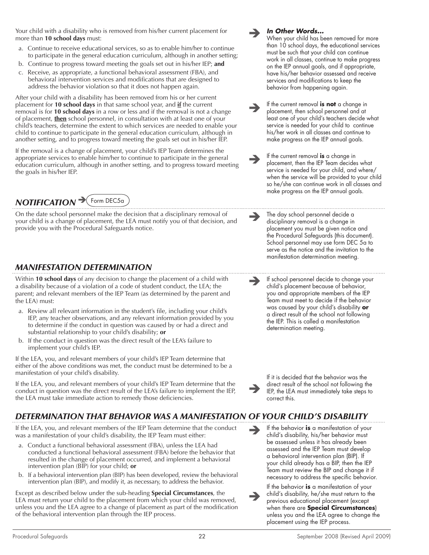Your child with a disability who is removed from his/her current placement for more than **10 school days** must:

- a. Continue to receive educational services, so as to enable him/her to continue to participate in the general education curriculum, although in another setting;
- b. Continue to progress toward meeting the goals set out in his/her IEP; **and**
- c. Receive, as appropriate, a functional behavioral assessment (FBA), and behavioral intervention services and modifications that are designed to address the behavior violation so that it does not happen again.

After your child with a disability has been removed from his or her current placement for **10 school days** in that same school year, and **if** the current removal is for **10 school days** in a row or less and if the removal is not a change of placement, **then** school personnel, in consultation with at least one of your child's teachers, determine the extent to which services are needed to enable your child to continue to participate in the general education curriculum, although in another setting, and to progress toward meeting the goals set out in his/her IEP.

If the removal is a change of placement, your child's IEP Team determines the appropriate services to enable him/her to continue to participate in the general education curriculum, although in another setting, and to progress toward meeting the goals in his/her IEP.

# *NOTIFICATION* → Form DEC5a

On the date school personnel make the decision that a disciplinary removal of your child is a change of placement, the LEA must notify you of that decision, and provide you with the Procedural Safeguards notice.

# *Manifestation Determination*

Within **10 school days** of any decision to change the placement of a child with a disability because of a violation of a code of student conduct, the LEA; the parent; and relevant members of the IEP Team (as determined by the parent and the LEA) must:

- a. Review all relevant information in the student's file, including your child's IEP, any teacher observations, and any relevant information provided by you to determine if the conduct in question was caused by or had a direct and substantial relationship to your child's disability; **or**
- b. If the conduct in question was the direct result of the LEA's failure to implement your child's IEP.

If the LEA, you, and relevant members of your child's IEP Team determine that either of the above conditions was met, the conduct must be determined to be a manifestation of your child's disability.

If the LEA, you, and relevant members of your child's IEP Team determine that the conduct in question was the direct result of the LEA's failure to implement the IEP, the LEA must take immediate action to remedy those deficiencies.

disciplinary removal is a change in placement you must be given notice and the Procedural Safeguards (this document). School personnel may use form DEC 5a to serve as the notice and the invitation to the manifestation determination meeting.  $\rightarrow$ 

The day school personnel decide a

 $\rightarrow$ 

*In Other Words...*

When your child has been removed for more than 10 school days, the educational services must be such that your child can continue work in all classes, continue to make progress on the IEP annual goals, and if appropriate, have his/her behavior assessed and receive services and modifications to keep the behavior from happening again.

If the current removal **is not** a change in placement, then school personnel and at least one of your child's teachers decide what service is needed for your child to continue his/her work in all classes and continue to make progress on the IEP annual goals.

If the current removal **is** a change in placement, then the IEP Team decides what service is needed for your child, and where/ when the service will be provided to your child so he/she can continue work in all classes and make progress on the IEP annual goals.

 $\rightarrow$ 

 $\rightarrow$ 

If school personnel decide to change your child's placement because of behavior, you and appropriate members of the IEP Team must meet to decide if the behavior was caused by your child's disability **or** a direct result of the school not following the IEP. This is called a manifestation determination meeting.

 $\rightarrow$ If it is decided that the behavior was the direct result of the school not following the IEP, the LEA must immediately take steps to correct this.

# *Determination that Behavior was a Manifestation of Your Child's Disability*

If the LEA, you, and relevant members of the IEP Team determine that the conduct was a manifestation of your child's disability, the IEP Team must either:

- a. Conduct a functional behavioral assessment (FBA), unless the LEA had conducted a functional behavioral assessment (FBA) before the behavior that resulted in the change of placement occurred, and implement a behavioral intervention plan (BIP) for your child; **or**
- b. If a behavioral intervention plan (BIP) has been developed, review the behavioral intervention plan (BIP), and modify it, as necessary, to address the behavior.

Except as described below under the sub-heading **Special Circumstances**, the LEA must return your child to the placement from which your child was removed, unless you and the LEA agree to a change of placement as part of the modification of the behavioral intervention plan through the IEP process.

 $\rightarrow$ If the behavior **is** a manifestation of your child's disability, his/her behavior must be assessed unless it has already been assessed and the IEP Team must develop a behavioral intervention plan (BIP). If your child already has a BIP, then the IEP Team must review the BIP and change it if necessary to address the specific behavior.

 $\rightarrow$ If the behavior **is** a manifestation of your child's disability, he/she must return to the previous educational placement (except when there are **Special Circumstances**) unless you and the LEA agree to change the placement using the IEP process.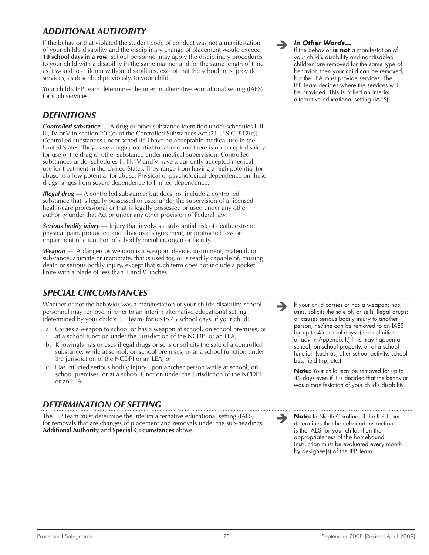# *Additional Authority*

If the behavior that violated the student code of conduct was not a manifestation of your child's disability and the disciplinary change of placement would exceed **10 school days in a row**, school personnel may apply the disciplinary procedures to your child with a disability in the same manner and for the same length of time as it would to children without disabilities, except that the school must provide services, as described previously, to your child.

Your child's IEP Team determines the interim alternative educational setting (IAES) for such services.

## *Definitions*

*Controlled substance* — A drug or other substance identified under schedules I, II, III, IV or V in section 202(c) of the Controlled Substances Act (21 U.S.C. 812(c)). Controlled substances under schedule I have no acceptable medical use in the United States. They have a high potential for abuse and there is no accepted safety for use of the drug or other substance under medical supervision. Controlled substances under schedules II, III, IV and V have a currently accepted medical use for treatment in the United States. They range from having a high potential for abuse to a low potential for abuse. Physical or psychological dependence on these drugs ranges from severe dependence to limited dependence.

*Illegal drug* — A controlled substance; but does not include a controlled substance that is legally possessed or used under the supervision of a licensed health-care professional or that is legally possessed or used under any other authority under that Act or under any other provision of Federal law.

*Serious bodily injury* — Injury that involves a substantial risk of death, extreme physical pain, protracted and obvious disfigurement, or protracted loss or impairment of a function of a bodily member, organ or faculty.

*Weapon* — A dangerous weapon is a weapon, device, instrument, material, or substance, animate or inanimate, that is used for, or is readily capable of, causing death or serious bodily injury, except that such term does not include a pocket knife with a blade of less than 2 and  $\frac{1}{2}$  inches.

# *Special Circumstances*

Whether or not the behavior was a manifestation of your child's disability, school personnel may remove him/her to an interim alternative educational setting (determined by your child's IEP Team) for up to 45 school days, if your child:

- a. Carries a weapon to school or has a weapon at school, on school premises, or at a school function under the jurisdiction of the NCDPI or an LEA;
- b. Knowingly has or uses illegal drugs or sells or solicits the sale of a controlled substance, while at school, on school premises, or at a school function under the jurisdiction of the NCDPI or an LEA; or
- c. Has inflicted serious bodily injury upon another person while at school, on school premises, or at a school function under the jurisdiction of the NCDPI or an LEA.

# *Determination of Setting*

The IEP Team must determine the interim alternative educational setting (IAES) for removals that are changes of placement and removals under the sub-headings **Additional Authority** and **Special Circumstances** above.

*In Other Words...*

If the behavior **is not** a manifestation of your child's disability and nondisabled children are removed for the same type of behavior, then your child can be removed, but the LEA must provide services. The IEP Team decides where the services will be provided. This is called an interim alternative educational setting (IAES).

 If your child carries or has a weapon; has, uses, solicits the sale of, or sells illegal drugs; or causes serious bodily injury to another person, he/she can be removed to an IAES for up to 45 school days. (See definition of *day* in Appendix I.) This may happen at school, on school property, or at a school function (such as, after school activity, school bus, field trip, etc.)

**Note:** Your child may be removed for up to 45 days even if it is decided that the behavior was a manifestation of your child's disability.

 **Note:** In North Carolina, if the IEP Team determines that homebound instruction is the IAES for your child, then the appropriateness of the homebound instruction must be evaluated every month by designee(s) of the IEP Team.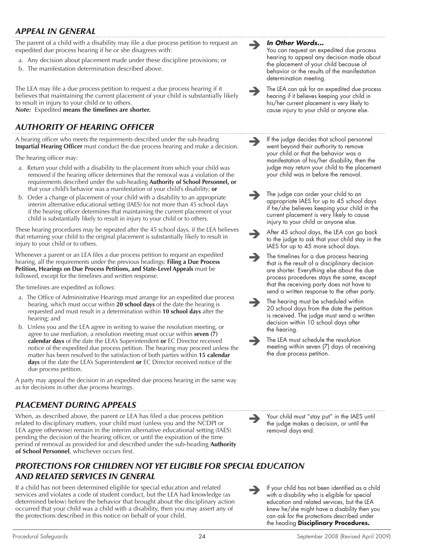# *Appeal in General*

The parent of a child with a disability may file a due process petition to request an expedited due process hearing if he or she disagrees with:

- a. Any decision about placement made under these discipline provisions; or
- b. The manifestation determination described above.

The LEA may file a due process petition to request a due process hearing if it believes that maintaining the current placement of your child is substantially likely to result in injury to your child or to others. *Note:*Expedited **means the timelines are shorter.**

# *Authority of Hearing Officer*

A hearing officer who meets the requirements described under the sub-heading **Impartial Hearing Officer** must conduct the due process hearing and make a decision.

The hearing officer may:

- a. Return your child with a disability to the placement from which your child was removed if the hearing officer determines that the removal was a violation of the requirements described under the sub-heading **Authority of School Personnel, or** that your child's behavior was a manifestation of your child's disability; **or**
- b. Order a change of placement of your child with a disability to an appropriate interim alternative educational setting (IAES) for not more than 45 school days if the hearing officer determines that maintaining the current placement of your child is substantially likely to result in injury to your child or to others.

These hearing procedures may be repeated after the 45 school days, if the LEA believes that returning your child to the original placement is substantially likely to result in injury to your child or to others.

Whenever a parent or an LEA files a due process petition to request an expedited hearing, all the requirements under the previous headings: **Filing a Due Process Petition, Hearings on Due Process Petitions, and State-Level Appeals** must be followed, except for the timelines and written response.

The timelines are expedited as follows:

- a. The Office of Administrative Hearings must arrange for an expedited due process hearing, which must occur within **20 school days** of the date the hearing is requested and must result in a determination within **10 school days** after the hearing; and
- b. Unless you and the LEA agree in writing to waive the resolution meeting, or agree to use mediation, a resolution meeting must occur within **seven (7) calendar days** of the date the LEA's Superintendent **or** EC Director received notice of the expedited due process petition. The hearing may proceed unless the matter has been resolved to the satisfaction of both parties within **15 calendar days** of the date the LEA's Superintendent **or** EC Director received notice of the due process petition.

A party may appeal the decision in an expedited due process hearing in the same way as for decisions in other due process hearings.

# *Placement During Appeals*

When, as described above, the parent or LEA has filed a due process petition related to disciplinary matters, your child must (unless you and the NCDPI or LEA agree otherwise) remain in the interim alternative educational setting (IAES) pending the decision of the hearing officer, or until the expiration of the time period of removal as provided for and described under the sub-heading **Authority of School Personnel**, whichever occurs first.

# *Protections for Children Not Yet Eligible for Special Education and Related Services in general*

If a child has not been determined eligible for special education and related services and violates a code of student conduct, but the LEA had knowledge (as determined below) before the behavior that brought about the disciplinary action occurred that your child was a child with a disability, then you may assert any of the protections described in this notice on behalf of your child.

#### *In Other Words...*

You can request an expedited due process hearing to appeal any decision made about the placement of your child because of behavior or the results of the manifestation determination meeting.

- The LEA can ask for an expedited due process hearing if it believes keeping your child in his/her current placement is very likely to cause injury to your child or anyone else.
- $\rightarrow$ If the judge decides that school personnel went beyond their authority to remove your child or that the behavior was a manifestation of his/her disability, then the judge may return your child to the placement your child was in before the removal.
- $\rightarrow$ The judge can order your child to an appropriate IAES for up to 45 school days if he/she believes keeping your child in the current placement is very likely to cause injury to your child or anyone else.

 $\rightarrow$ After 45 school days, the LEA can go back to the judge to ask that your child stay in the IAES for up to 45 more school days.

- $\rightarrow$ The timelines for a due process hearing that is the result of a disciplinary decision are shorter. Everything else about the due process procedures stays the same, except that the receiving party does not have to send a written response to the other party.
- $\rightarrow$ The hearing must be scheduled within 20 school days from the date the petition is received. The judge must send a written decision within 10 school days after the hearing.
- $\rightarrow$ The LEA must schedule the resolution meeting within seven (7) days of receiving the due process petition.
	- Your child must "stay put" in the IAES until the judge makes a decision, or until the removal days end.
	- If your child has not been identified as a child with a disability who is eligible for special education and related services, but the LEA knew he/she might have a disability then you can ask for the protections described under the heading **Disciplinary Procedures.**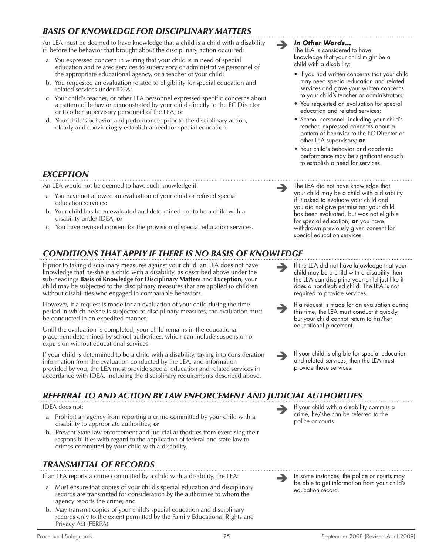# *Basis of Knowledge for Disciplinary Matters*

An LEA must be deemed to have knowledge that a child is a child with a disability if, before the behavior that brought about the disciplinary action occurred:

- a. You expressed concern in writing that your child is in need of special education and related services to supervisory or administrative personnel of the appropriate educational agency, or a teacher of your child;
- b. You requested an evaluation related to eligibility for special education and related services under IDEA;
- c. Your child's teacher, or other LEA personnel expressed specific concerns about a pattern of behavior demonstrated by your child directly to the EC Director or to other supervisory personnel of the LEA; or
- d. Your child's behavior and performance, prior to the disciplinary action, clearly and convincingly establish a need for special education.

# *Exception*

An LEA would not be deemed to have such knowledge if:

- a. You have not allowed an evaluation of your child or refused special education services;
- b. Your child has been evaluated and determined not to be a child with a disability under IDEA; **or**
- c. You have revoked consent for the provision of special education services.

# *Conditions that Apply if there is No Basis of Knowledge*

If prior to taking disciplinary measures against your child, an LEA does not have knowledge that he/she is a child with a disability, as described above under the sub-headings **Basis of Knowledge for Disciplinary Matters** and **Exception**, your child may be subjected to the disciplinary measures that are applied to children without disabilities who engaged in comparable behaviors.

However, if a request is made for an evaluation of your child during the time period in which he/she is subjected to disciplinary measures, the evaluation must be conducted in an expedited manner.

Until the evaluation is completed, your child remains in the educational placement determined by school authorities, which can include suspension or expulsion without educational services.

If your child is determined to be a child with a disability, taking into consideration information from the evaluation conducted by the LEA, and information provided by you, the LEA must provide special education and related services in accordance with IDEA, including the disciplinary requirements described above.

#### *In Other Words...*

The LEA is considered to have knowledge that your child might be a child with a disability:

- If you had written concerns that your child may need special education and related services and gave your written concerns to your child's teacher or administrators;
- You requested an evaluation for special education and related services;
- School personnel, including your child's teacher, expressed concerns about a pattern of behavior to the EC Director or other LEA supervisors; **or**
- **•** Your child's behavior and academic performance may be significant enough to establish a need for services.

- The LEA did not have knowledge that your child may be a child with a disability if it asked to evaluate your child and you did not give permission; your child has been evaluated, but was not eligible for special education; **or** you have withdrawn previously given consent for special education services.
- $\rightarrow$ If the LEA did not have knowledge that your child may be a child with a disability then the LEA can discipline your child just like it does a nondisabled child. The LEA is not required to provide services.
- $\rightarrow$ If a request is made for an evaluation during this time, the LEA must conduct it quickly, but your child cannot return to his/her educational placement.
- $\rightarrow$ If your child is eligible for special education and related services, then the LEA must provide those services.

# *Referral to and Action by Law Enforcement and Judicial Authorities*

IDEA does not:

- a. Prohibit an agency from reporting a crime committed by your child with a disability to appropriate authorities; **or**
- b. Prevent State law enforcement and judicial authorities from exercising their responsibilities with regard to the application of federal and state law to crimes committed by your child with a disability.

# *Transmittal of Records*

If an LEA reports a crime committed by a child with a disability, the LEA:

- a. Must ensure that copies of your child's special education and disciplinary records are transmitted for consideration by the authorities to whom the agency reports the crime; and
- b. May transmit copies of your child's special education and disciplinary records only to the extent permitted by the Family Educational Rights and Privacy Act (FERPA).
- If your child with a disability commits a crime, he/she can be referred to the police or courts.
	- In some instances, the police or courts may be able to get information from your child's education record.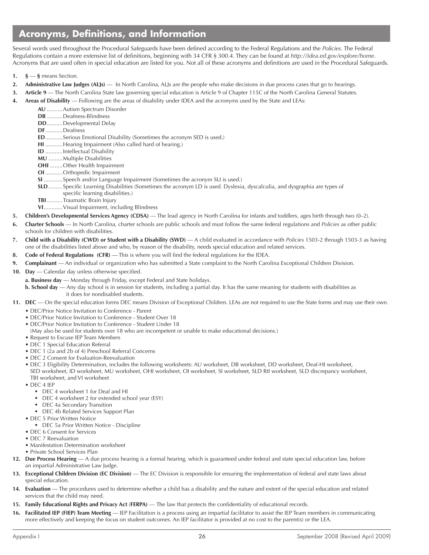# **Acronyms, Definitions, and Information**

Several words used throughout the Procedural Safeguards have been defined according to the Federal Regulations and the *Policies*. The Federal Regulations contain a more extensive list of definitions, beginning with 34 CFR § 300.4. They can be found at *http://idea.ed.gov/explore/home*. Acronyms that are used often in special education are listed for you. Not all of these acronyms and definitions are used in the Procedural Safeguards.

- 1.  $\mathbf{\hat{s}} \mathbf{\hat{s}}$  means Section.
- 2. **Administrative Law Judges (ALJs)** In North Carolina, ALJs are the people who make decisions in due process cases that go to hearings.
- **3. Article 9** The North Carolina State law governing special education is Article 9 of Chapter 115C of the North Carolina General Statutes.
- **4. Areas of Disability**  Following are the areas of disability under IDEA and the acronyms used by the State and LEAs:
	- **AU** ..........Autism Spectrum Disorder
	- **DB** ..........Deafness-Blindness
	- **DD**..........Developmental Delay
	- **DF**...........Deafness
	- **ED**...........Serious Emotional Disability (Sometimes the acronym SED is used.)
	- **HI** ...........Hearing Impairment (Also called hard of hearing.)
	- **ID** ........... Intellectual Disability
	- **MU** .........Multiple Disabilities
	- **OHI** ........Other Health Impairment
	- **OI** ...........Orthopedic Impairment
	- **SI** ............Speech and/or Language Impairment (Sometimes the acronym SLI is used.)
	- **SLD**......... Specific Learning Disabilities (Sometimes the acronym LD is used. Dyslexia, dyscalculia, and dysgraphia are types of specific learning disabilities.)
	- **TBI**..........Traumatic Brain Injury
	- **VI**............Visual Impairment, including Blindness
- **5. Children's Developmental Services Agency (CDSA)** The lead agency in North Carolina for infants and toddlers, ages birth through two (0–2).
- **6. Charter Schools**  In North Carolina, charter schools are public schools and must follow the same federal regulations and *Policies* as other public schools for children with disabilities.
- **7. Child with a Disability (CWD) or Student with a Disability (SWD)**  A child evaluated in accordance with *Policies* 1503-2 through 1503-3 as having one of the disabilities listed above and who, by reason of the disability, needs special education and related services.
- **8. Code of Federal Regulations (CFR)** This is where you will find the federal regulations for the IDEA.
- **9. Complainant** An individual or organization who has submitted a State complaint to the North Carolina Exceptional Children Division.
- 10. Day Calendar day unless otherwise specified.
	- **a. Business day** Monday through Friday, except Federal and State holidays.
	- **b. School day** Any day school is in session for students, including a partial day. It has the same meaning for students with disabilities as it does for nondisabled students.
- **11. DEC** On the special education forms DEC means Division of Exceptional Children. LEAs are not required to use the State forms and may use their own.
	- DEC/Prior Notice Invitation to Conference Parent
	- DEC/Prior Notice Invitation to Conference Student Over 18
	- DEC/Prior Notice Invitation to Conference Student Under 18
	- (May also be used for students over 18 who are incompetent or unable to make educational decisions.)
	- Request to Excuse IEP Team Members
	- DEC 1 Special Education Referral
	- DEC 1 (2a and 2b of 4) Preschool Referral Concerns
	- DEC 2 Consent for Evaluation-Reevaluation
	- DEC 3 Eligibility Determination, includes the following worksheets: AU worksheet, DB worksheet, DD worksheet, Deaf-HI worksheet, SED worksheet, ID worksheet, MU worksheet, OHI worksheet, OI worksheet, SI worksheet, SLD RtI worksheet, SLD discrepancy worksheet, TBI worksheet, and VI worksheet
	- DEC 4 IEP
		- DEC 4 worksheet 1 for Deaf and HI
		- DEC 4 worksheet 2 for extended school year (ESY)
		- DEC 4a Secondary Transition
		- DEC 4b Related Services Support Plan
	- DEC 5 Prior Written Notice
		- DEC 5a Prior Written Notice Discipline
	- DEC 6 Consent for Services
	- DEC 7 Reevaluation
	- Manifestation Determination worksheet
	- Private School Services Plan
- **12. Due Process Hearing** A due process hearing is a formal hearing, which is guaranteed under federal and state special education law, before an impartial Administrative Law Judge.
- **13. Exceptional Children Division (EC Division)** The EC Division is responsible for ensuring the implementation of federal and state laws about special education.
- **14. Evaluation** The procedures used to determine whether a child has a disability and the nature and extent of the special education and related services that the child may need.
- **15. Family Educational Rights and Privacy Act** (**FERPA)**  The law that protects the confidentiality of educational records.
- **16. Facilitated IEP (FIEP) Team Meeting** IEP Facilitation is a process using an impartial facilitator to assist the IEP Team members in communicating more effectively and keeping the focus on student outcomes. An IEP facilitator is provided at no cost to the parent(s) or the LEA.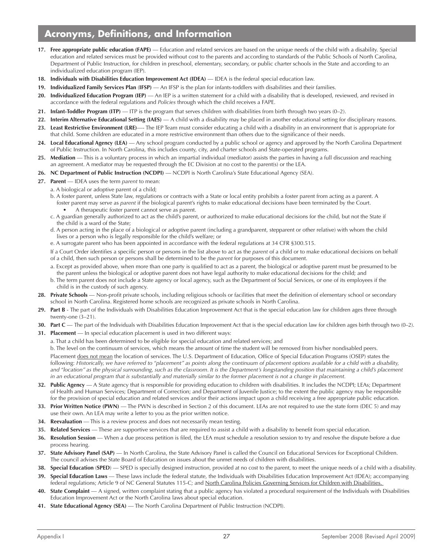# **Acronyms, Definitions, and Information**

- **17.** Free appropriate public education (FAPE) Education and related services are based on the unique needs of the child with a disability. Special education and related services must be provided without cost to the parents and according to standards of the Public Schools of North Carolina, Department of Public Instruction, for children in preschool, elementary, secondary, or public charter schools in the State and according to an individualized education program (IEP).
- **18. Individuals with Disabilities Education Improvement Act (IDEA)** IDEA is the federal special education law.
- **19. Individualized Family Services Plan** (**IFSP)**  An IFSP is the plan for infants-toddlers with disabilities and their families.
- **20. Individualized Education Program (IEP)** An IEP is a written statement for a child with a disability that is developed, reviewed, and revised in accordance with the federal regulations and *Policies* through which the child receives a FAPE.
- **21. Infant-Toddler Program (ITP)** ITP is the program that serves children with disabilities from birth through two years (0–2).
- **22. Interim Alternative Educational Setting (IAES)**  A child with a disability may be placed in another educational setting for disciplinary reasons.
- **23. Least Restrictive Environment (LRE)**—- The IEP Team must consider educating a child with a disability in an environment that is appropriate for that child. Some children are educated in a more restrictive environment than others due to the significance of their needs.
- **24. Local Educational Agency (LEA)** Any school program conducted by a public school or agency and approved by the North Carolina Department of Public Instruction. In North Carolina, this includes county, city, and charter schools and State-operated programs.
- **25. Mediation** This is a voluntary process in which an impartial individual (mediator) assists the parties in having a full discussion and reaching an agreement. A mediator may be requested through the EC Division at no cost to the parent(s) or the LEA.
- **26. NC Department of Public Instruction (NCDPI)**  NCDPI is North Carolina's State Educational Agency (SEA).
- **27. Parent**  IDEA uses the term *parent* to mean:
	- a. A biological or adoptive parent of a child;
	- b. A foster parent, unless State law, regulations or contracts with a State or local entity prohibits a foster parent from acting as a parent. A foster parent may serve as *parent* if the biological parent's rights to make educational decisions have been terminated by the Court. • A therapeutic foster parent cannot serve as parent.
	- c. A guardian generally authorized to act as the child's parent, or authorized to make educational decisions for the child, but not the State if the child is a ward of the State;
	- d. A person acting in the place of a biological or adoptive parent (including a grandparent, stepparent or other relative) with whom the child lives or a person who is legally responsible for the child's welfare; or
	- e. A surrogate parent who has been appointed in accordance with the federal regulations at 34 CFR §300.515.

If a Court Order identifies a specific person or persons in the list above to act as the *parent* of a child or to make educational decisions on behalf of a child, then such person or persons shall be determined to be the *parent* for purposes of this document.

- a. Except as provided above, when more than one party is qualified to act as a parent, the biological or adoptive parent must be presumed to be the parent unless the biological or adoptive parent does not have legal authority to make educational decisions for the child; and
- b. The term parent does not include a State agency or local agency, such as the Department of Social Services, or one of its employees if the child is in the custody of such agency.
- **28. Private Schools** Non-profit private schools, including religious schools or facilities that meet the definition of elementary school or secondary school in North Carolina. Registered home schools are recognized as private schools in North Carolina.
- **29. Part B**  The part of the Individuals with Disabilities Education Improvement Act that is the special education law for children ages three through twenty-one (3–21).
- **30. Part C** The part of the Individuals with Disabilities Education Improvement Act that is the special education law for children ages birth through two (0–2).
- **31. Placement** In special education placement is used in two different ways:
	- a. That a child has been determined to be eligible for special education and related services; and

b. The level on the continuum of services, which means the amount of time the student will be removed from his/her nondisabled peers.

Placement does not mean the location of services. The U.S. Department of Education, Office of Special Education Programs (OSEP) states the following: *Historically, we have referred to ''placement'' as points along the continuum of placement options available for a child with a disability,*  and "location" as the physical surrounding, such as the classroom. It is the Department's longstanding position that maintaining a child's placement *in an educational program that is substantially and materially similar to the former placement is not a change in placement.* 

- **32. Public Agency** A State agency that is responsible for providing education to children with disabilities. It includes the NCDPI; LEAs; Department of Health and Human Services; Department of Correction; and Department of Juvenile Justice; to the extent the public agency may be responsible for the provision of special education and related services and/or their actions impact upon a child receiving a free appropriate public education.
- **33. Prior Written Notice (PWN)** The PWN is described in Section 2 of this document. LEAs are not required to use the state form (DEC 5) and may use their own. An LEA may write a letter to you as the prior written notice.
- **34. Reevaluation** This is a review process and does not necessarily mean testing.
- **35. Related Services** These are supportive services that are required to assist a child with a disability to benefit from special education.
- **36. Resolution Session** When a due process petition is filed, the LEA must schedule a resolution session to try and resolve the dispute before a due process hearing.
- **37. State Advisory Panel (SAP)** In North Carolina, the State Advisory Panel is called the Council on Educational Services for Exceptional Children. The council advises the State Board of Education on issues about the unmet needs of children with disabilities.
- **38.** Special Education (SPED) SPED is specially designed instruction, provided at no cost to the parent, to meet the unique needs of a child with a disability.
- **39. Special Education Laws** These laws include the federal statute, the Individuals with Disabilities Education Improvement Act (IDEA); accompanying federal regulations; Article 9 of NC General Statutes 115-C; and North Carolina Policies Governing Services for Children with Disabilities.
- **40. State Complaint**  A signed, written complaint stating that a public agency has violated a procedural requirement of the Individuals with Disabilities Education Improvement Act or the North Carolina laws about special education.
- **41. State Educational Agency (SEA)** The North Carolina Department of Public Instruction (NCDPI).